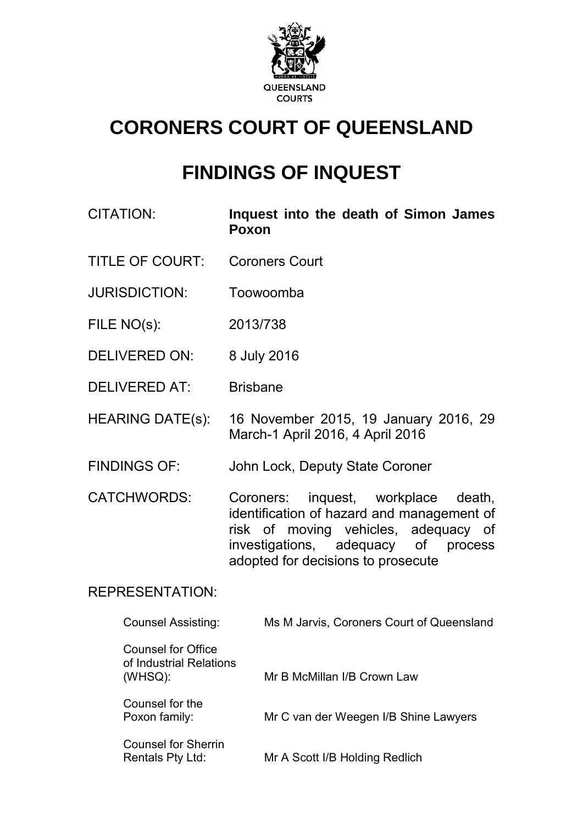

# **CORONERS COURT OF QUEENSLAND**

# **FINDINGS OF INQUEST**

- CITATION: **Inquest into the death of Simon James Poxon**
- TITLE OF COURT: Coroners Court
- JURISDICTION: Toowoomba
- FILE NO(s): 2013/738
- DELIVERED ON: 8 July 2016
- DELIVERED AT: Brisbane
- HEARING DATE(s): 16 November 2015, 19 January 2016, 29 March-1 April 2016, 4 April 2016
- FINDINGS OF: John Lock, Deputy State Coroner
- CATCHWORDS: Coroners: inquest, workplace death, identification of hazard and management of risk of moving vehicles, adequacy of<br>investigations, adequacy of process investigations, adequacy of process adopted for decisions to prosecute

## REPRESENTATION:

| Counsel Assisting:                                                 | Ms M Jarvis, Coroners Court of Queensland |
|--------------------------------------------------------------------|-------------------------------------------|
| <b>Counsel for Office</b><br>of Industrial Relations<br>$(WHSQ)$ : | Mr B McMillan I/B Crown Law               |
| Counsel for the<br>Poxon family:                                   | Mr C van der Weegen I/B Shine Lawyers     |
| <b>Counsel for Sherrin</b><br>Rentals Pty Ltd:                     | Mr A Scott I/B Holding Redlich            |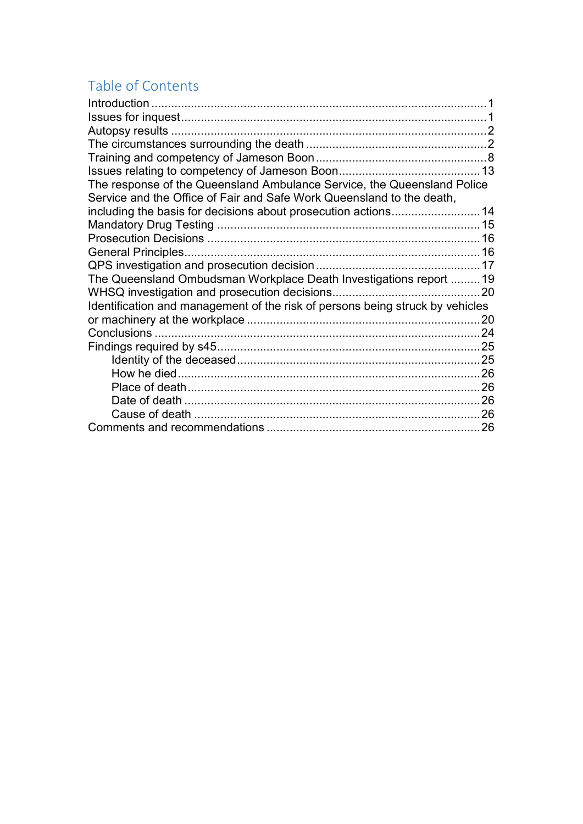# Table of Contents

| The response of the Queensland Ambulance Service, the Queensland Police       |      |
|-------------------------------------------------------------------------------|------|
| Service and the Office of Fair and Safe Work Queensland to the death,         |      |
|                                                                               |      |
|                                                                               |      |
|                                                                               |      |
|                                                                               |      |
|                                                                               |      |
| The Queensland Ombudsman Workplace Death Investigations report 19             |      |
|                                                                               | . 20 |
| Identification and management of the risk of persons being struck by vehicles |      |
|                                                                               |      |
|                                                                               |      |
|                                                                               |      |
|                                                                               |      |
|                                                                               |      |
|                                                                               |      |
|                                                                               |      |
|                                                                               |      |
|                                                                               |      |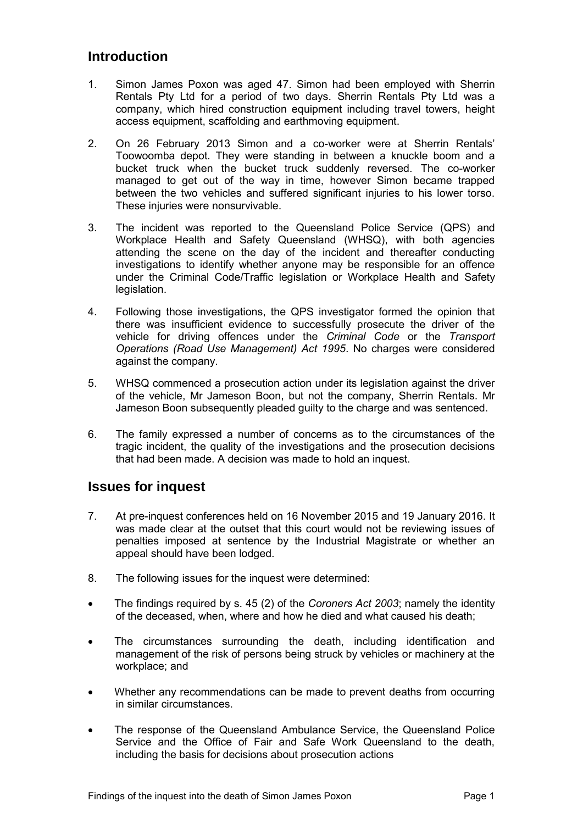## <span id="page-2-0"></span>**Introduction**

- 1. Simon James Poxon was aged 47. Simon had been employed with Sherrin Rentals Pty Ltd for a period of two days. Sherrin Rentals Pty Ltd was a company, which hired construction equipment including travel towers, height access equipment, scaffolding and earthmoving equipment.
- 2. On 26 February 2013 Simon and a co-worker were at Sherrin Rentals' Toowoomba depot. They were standing in between a knuckle boom and a bucket truck when the bucket truck suddenly reversed. The co-worker managed to get out of the way in time, however Simon became trapped between the two vehicles and suffered significant injuries to his lower torso. These injuries were nonsurvivable.
- 3. The incident was reported to the Queensland Police Service (QPS) and Workplace Health and Safety Queensland (WHSQ), with both agencies attending the scene on the day of the incident and thereafter conducting investigations to identify whether anyone may be responsible for an offence under the Criminal Code/Traffic legislation or Workplace Health and Safety legislation.
- 4. Following those investigations, the QPS investigator formed the opinion that there was insufficient evidence to successfully prosecute the driver of the vehicle for driving offences under the *Criminal Code* or the *Transport Operations (Road Use Management) Act 1995*. No charges were considered against the company.
- 5. WHSQ commenced a prosecution action under its legislation against the driver of the vehicle, Mr Jameson Boon, but not the company, Sherrin Rentals. Mr Jameson Boon subsequently pleaded guilty to the charge and was sentenced.
- 6. The family expressed a number of concerns as to the circumstances of the tragic incident, the quality of the investigations and the prosecution decisions that had been made. A decision was made to hold an inquest.

## <span id="page-2-1"></span>**Issues for inquest**

- 7. At pre-inquest conferences held on 16 November 2015 and 19 January 2016. It was made clear at the outset that this court would not be reviewing issues of penalties imposed at sentence by the Industrial Magistrate or whether an appeal should have been lodged.
- 8. The following issues for the inquest were determined:
- The findings required by s. 45 (2) of the *Coroners Act 2003*; namely the identity of the deceased, when, where and how he died and what caused his death;
- The circumstances surrounding the death, including identification and management of the risk of persons being struck by vehicles or machinery at the workplace; and
- Whether any recommendations can be made to prevent deaths from occurring in similar circumstances.
- The response of the Queensland Ambulance Service, the Queensland Police Service and the Office of Fair and Safe Work Queensland to the death, including the basis for decisions about prosecution actions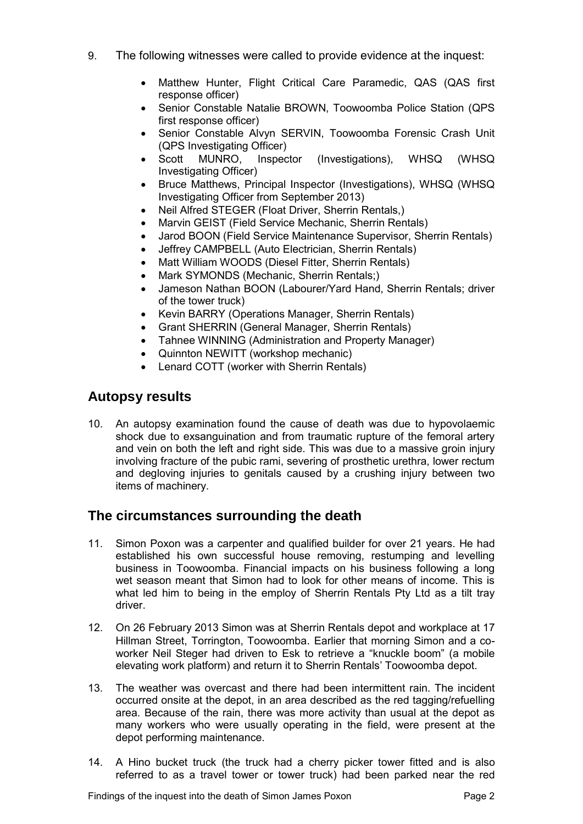- 9. The following witnesses were called to provide evidence at the inquest:
	- Matthew Hunter, Flight Critical Care Paramedic, QAS (QAS first response officer)
	- Senior Constable Natalie BROWN, Toowoomba Police Station (QPS first response officer)
	- Senior Constable Alvyn SERVIN, Toowoomba Forensic Crash Unit (QPS Investigating Officer)
	- Scott MUNRO, Inspector (Investigations), WHSQ (WHSQ Investigating Officer)
	- Bruce Matthews, Principal Inspector (Investigations), WHSQ (WHSQ Investigating Officer from September 2013)
	- Neil Alfred STEGER (Float Driver, Sherrin Rentals,)
	- Marvin GEIST (Field Service Mechanic, Sherrin Rentals)
	- Jarod BOON (Field Service Maintenance Supervisor, Sherrin Rentals)
	- Jeffrey CAMPBELL (Auto Electrician, Sherrin Rentals)
	- Matt William WOODS (Diesel Fitter, Sherrin Rentals)
	- Mark SYMONDS (Mechanic, Sherrin Rentals;)
	- Jameson Nathan BOON (Labourer/Yard Hand, Sherrin Rentals; driver of the tower truck)
	- Kevin BARRY (Operations Manager, Sherrin Rentals)
	- Grant SHERRIN (General Manager, Sherrin Rentals)
	- Tahnee WINNING (Administration and Property Manager)
	- Quinnton NEWITT (workshop mechanic)
	- Lenard COTT (worker with Sherrin Rentals)

# <span id="page-3-0"></span>**Autopsy results**

10. An autopsy examination found the cause of death was due to hypovolaemic shock due to exsanguination and from traumatic rupture of the femoral artery and vein on both the left and right side. This was due to a massive groin injury involving fracture of the pubic rami, severing of prosthetic urethra, lower rectum and degloving injuries to genitals caused by a crushing injury between two items of machinery.

# <span id="page-3-1"></span>**The circumstances surrounding the death**

- 11. Simon Poxon was a carpenter and qualified builder for over 21 years. He had established his own successful house removing, restumping and levelling business in Toowoomba. Financial impacts on his business following a long wet season meant that Simon had to look for other means of income. This is what led him to being in the employ of Sherrin Rentals Pty Ltd as a tilt tray driver.
- 12. On 26 February 2013 Simon was at Sherrin Rentals depot and workplace at 17 Hillman Street, Torrington, Toowoomba. Earlier that morning Simon and a coworker Neil Steger had driven to Esk to retrieve a "knuckle boom" (a mobile elevating work platform) and return it to Sherrin Rentals' Toowoomba depot.
- 13. The weather was overcast and there had been intermittent rain. The incident occurred onsite at the depot, in an area described as the red tagging/refuelling area. Because of the rain, there was more activity than usual at the depot as many workers who were usually operating in the field, were present at the depot performing maintenance.
- 14. A Hino bucket truck (the truck had a cherry picker tower fitted and is also referred to as a travel tower or tower truck) had been parked near the red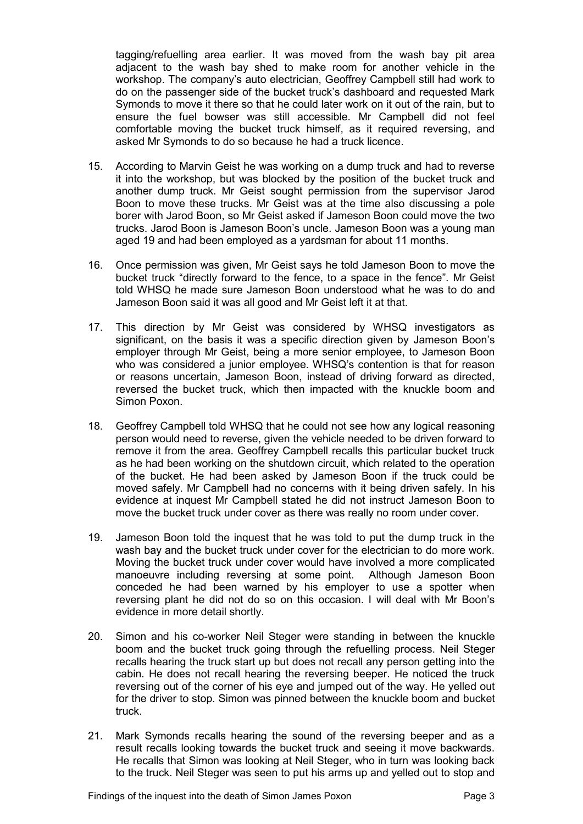tagging/refuelling area earlier. It was moved from the wash bay pit area adjacent to the wash bay shed to make room for another vehicle in the workshop. The company's auto electrician, Geoffrey Campbell still had work to do on the passenger side of the bucket truck's dashboard and requested Mark Symonds to move it there so that he could later work on it out of the rain, but to ensure the fuel bowser was still accessible. Mr Campbell did not feel comfortable moving the bucket truck himself, as it required reversing, and asked Mr Symonds to do so because he had a truck licence.

- 15. According to Marvin Geist he was working on a dump truck and had to reverse it into the workshop, but was blocked by the position of the bucket truck and another dump truck. Mr Geist sought permission from the supervisor Jarod Boon to move these trucks. Mr Geist was at the time also discussing a pole borer with Jarod Boon, so Mr Geist asked if Jameson Boon could move the two trucks. Jarod Boon is Jameson Boon's uncle. Jameson Boon was a young man aged 19 and had been employed as a yardsman for about 11 months.
- 16. Once permission was given, Mr Geist says he told Jameson Boon to move the bucket truck "directly forward to the fence, to a space in the fence". Mr Geist told WHSQ he made sure Jameson Boon understood what he was to do and Jameson Boon said it was all good and Mr Geist left it at that.
- 17. This direction by Mr Geist was considered by WHSQ investigators as significant, on the basis it was a specific direction given by Jameson Boon's employer through Mr Geist, being a more senior employee, to Jameson Boon who was considered a junior employee. WHSQ's contention is that for reason or reasons uncertain, Jameson Boon, instead of driving forward as directed, reversed the bucket truck, which then impacted with the knuckle boom and Simon Poxon.
- 18. Geoffrey Campbell told WHSQ that he could not see how any logical reasoning person would need to reverse, given the vehicle needed to be driven forward to remove it from the area. Geoffrey Campbell recalls this particular bucket truck as he had been working on the shutdown circuit, which related to the operation of the bucket. He had been asked by Jameson Boon if the truck could be moved safely. Mr Campbell had no concerns with it being driven safely. In his evidence at inquest Mr Campbell stated he did not instruct Jameson Boon to move the bucket truck under cover as there was really no room under cover.
- 19. Jameson Boon told the inquest that he was told to put the dump truck in the wash bay and the bucket truck under cover for the electrician to do more work. Moving the bucket truck under cover would have involved a more complicated manoeuvre including reversing at some point. Although Jameson Boon conceded he had been warned by his employer to use a spotter when reversing plant he did not do so on this occasion. I will deal with Mr Boon's evidence in more detail shortly.
- 20. Simon and his co-worker Neil Steger were standing in between the knuckle boom and the bucket truck going through the refuelling process. Neil Steger recalls hearing the truck start up but does not recall any person getting into the cabin. He does not recall hearing the reversing beeper. He noticed the truck reversing out of the corner of his eye and jumped out of the way. He yelled out for the driver to stop. Simon was pinned between the knuckle boom and bucket truck.
- 21. Mark Symonds recalls hearing the sound of the reversing beeper and as a result recalls looking towards the bucket truck and seeing it move backwards. He recalls that Simon was looking at Neil Steger, who in turn was looking back to the truck. Neil Steger was seen to put his arms up and yelled out to stop and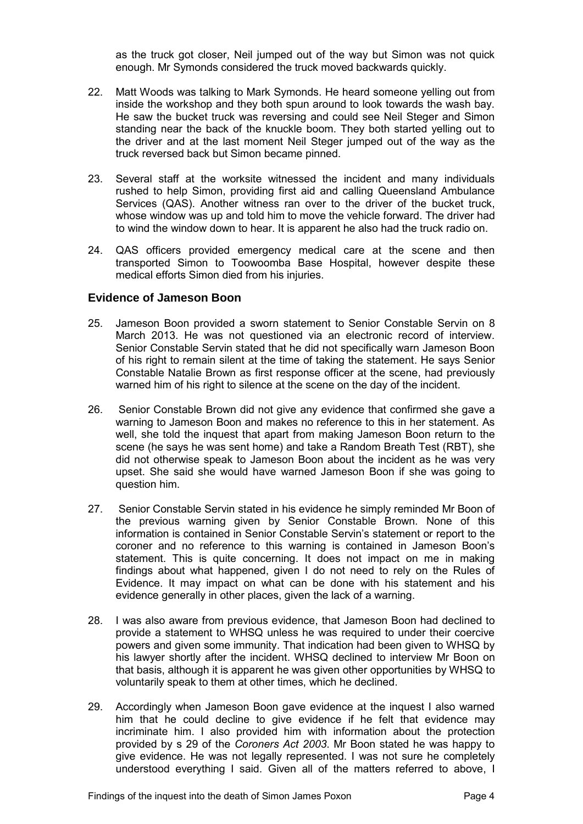as the truck got closer, Neil jumped out of the way but Simon was not quick enough. Mr Symonds considered the truck moved backwards quickly.

- 22. Matt Woods was talking to Mark Symonds. He heard someone yelling out from inside the workshop and they both spun around to look towards the wash bay. He saw the bucket truck was reversing and could see Neil Steger and Simon standing near the back of the knuckle boom. They both started yelling out to the driver and at the last moment Neil Steger jumped out of the way as the truck reversed back but Simon became pinned.
- 23. Several staff at the worksite witnessed the incident and many individuals rushed to help Simon, providing first aid and calling Queensland Ambulance Services (QAS). Another witness ran over to the driver of the bucket truck, whose window was up and told him to move the vehicle forward. The driver had to wind the window down to hear. It is apparent he also had the truck radio on.
- 24. QAS officers provided emergency medical care at the scene and then transported Simon to Toowoomba Base Hospital, however despite these medical efforts Simon died from his injuries.

#### **Evidence of Jameson Boon**

- 25. Jameson Boon provided a sworn statement to Senior Constable Servin on 8 March 2013. He was not questioned via an electronic record of interview. Senior Constable Servin stated that he did not specifically warn Jameson Boon of his right to remain silent at the time of taking the statement. He says Senior Constable Natalie Brown as first response officer at the scene, had previously warned him of his right to silence at the scene on the day of the incident.
- 26. Senior Constable Brown did not give any evidence that confirmed she gave a warning to Jameson Boon and makes no reference to this in her statement. As well, she told the inquest that apart from making Jameson Boon return to the scene (he says he was sent home) and take a Random Breath Test (RBT), she did not otherwise speak to Jameson Boon about the incident as he was very upset. She said she would have warned Jameson Boon if she was going to question him.
- 27. Senior Constable Servin stated in his evidence he simply reminded Mr Boon of the previous warning given by Senior Constable Brown. None of this information is contained in Senior Constable Servin's statement or report to the coroner and no reference to this warning is contained in Jameson Boon's statement. This is quite concerning. It does not impact on me in making findings about what happened, given I do not need to rely on the Rules of Evidence. It may impact on what can be done with his statement and his evidence generally in other places, given the lack of a warning.
- 28. I was also aware from previous evidence, that Jameson Boon had declined to provide a statement to WHSQ unless he was required to under their coercive powers and given some immunity. That indication had been given to WHSQ by his lawyer shortly after the incident. WHSQ declined to interview Mr Boon on that basis, although it is apparent he was given other opportunities by WHSQ to voluntarily speak to them at other times, which he declined.
- 29. Accordingly when Jameson Boon gave evidence at the inquest I also warned him that he could decline to give evidence if he felt that evidence may incriminate him. I also provided him with information about the protection provided by s 29 of the *Coroners Act 2003*. Mr Boon stated he was happy to give evidence. He was not legally represented. I was not sure he completely understood everything I said. Given all of the matters referred to above, I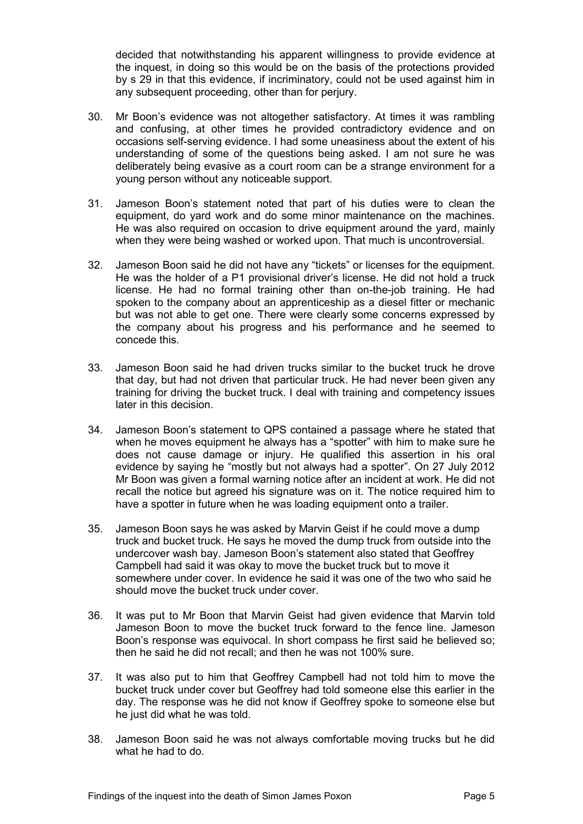decided that notwithstanding his apparent willingness to provide evidence at the inquest, in doing so this would be on the basis of the protections provided by s 29 in that this evidence, if incriminatory, could not be used against him in any subsequent proceeding, other than for perjury.

- 30. Mr Boon's evidence was not altogether satisfactory. At times it was rambling and confusing, at other times he provided contradictory evidence and on occasions self-serving evidence. I had some uneasiness about the extent of his understanding of some of the questions being asked. I am not sure he was deliberately being evasive as a court room can be a strange environment for a young person without any noticeable support.
- 31. Jameson Boon's statement noted that part of his duties were to clean the equipment, do yard work and do some minor maintenance on the machines. He was also required on occasion to drive equipment around the yard, mainly when they were being washed or worked upon. That much is uncontroversial.
- 32. Jameson Boon said he did not have any "tickets" or licenses for the equipment. He was the holder of a P1 provisional driver's license. He did not hold a truck license. He had no formal training other than on-the-job training. He had spoken to the company about an apprenticeship as a diesel fitter or mechanic but was not able to get one. There were clearly some concerns expressed by the company about his progress and his performance and he seemed to concede this.
- 33. Jameson Boon said he had driven trucks similar to the bucket truck he drove that day, but had not driven that particular truck. He had never been given any training for driving the bucket truck. I deal with training and competency issues later in this decision.
- 34. Jameson Boon's statement to QPS contained a passage where he stated that when he moves equipment he always has a "spotter" with him to make sure he does not cause damage or injury. He qualified this assertion in his oral evidence by saying he "mostly but not always had a spotter". On 27 July 2012 Mr Boon was given a formal warning notice after an incident at work. He did not recall the notice but agreed his signature was on it. The notice required him to have a spotter in future when he was loading equipment onto a trailer.
- 35. Jameson Boon says he was asked by Marvin Geist if he could move a dump truck and bucket truck. He says he moved the dump truck from outside into the undercover wash bay. Jameson Boon's statement also stated that Geoffrey Campbell had said it was okay to move the bucket truck but to move it somewhere under cover. In evidence he said it was one of the two who said he should move the bucket truck under cover.
- 36. It was put to Mr Boon that Marvin Geist had given evidence that Marvin told Jameson Boon to move the bucket truck forward to the fence line. Jameson Boon's response was equivocal. In short compass he first said he believed so; then he said he did not recall; and then he was not 100% sure.
- 37. It was also put to him that Geoffrey Campbell had not told him to move the bucket truck under cover but Geoffrey had told someone else this earlier in the day. The response was he did not know if Geoffrey spoke to someone else but he just did what he was told.
- 38. Jameson Boon said he was not always comfortable moving trucks but he did what he had to do.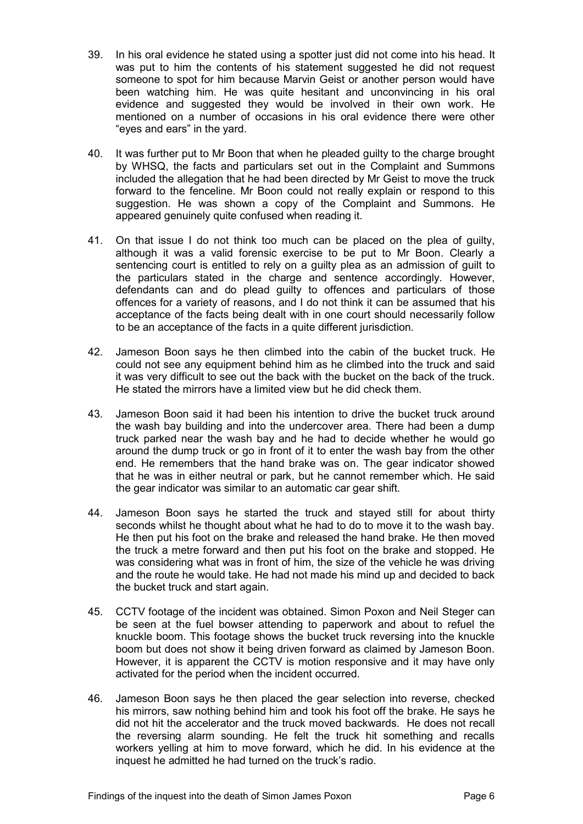- 39. In his oral evidence he stated using a spotter just did not come into his head. It was put to him the contents of his statement suggested he did not request someone to spot for him because Marvin Geist or another person would have been watching him. He was quite hesitant and unconvincing in his oral evidence and suggested they would be involved in their own work. He mentioned on a number of occasions in his oral evidence there were other "eyes and ears" in the yard.
- 40. It was further put to Mr Boon that when he pleaded guilty to the charge brought by WHSQ, the facts and particulars set out in the Complaint and Summons included the allegation that he had been directed by Mr Geist to move the truck forward to the fenceline. Mr Boon could not really explain or respond to this suggestion. He was shown a copy of the Complaint and Summons. He appeared genuinely quite confused when reading it.
- 41. On that issue I do not think too much can be placed on the plea of guilty, although it was a valid forensic exercise to be put to Mr Boon. Clearly a sentencing court is entitled to rely on a guilty plea as an admission of guilt to the particulars stated in the charge and sentence accordingly. However, defendants can and do plead guilty to offences and particulars of those offences for a variety of reasons, and I do not think it can be assumed that his acceptance of the facts being dealt with in one court should necessarily follow to be an acceptance of the facts in a quite different jurisdiction.
- 42. Jameson Boon says he then climbed into the cabin of the bucket truck. He could not see any equipment behind him as he climbed into the truck and said it was very difficult to see out the back with the bucket on the back of the truck. He stated the mirrors have a limited view but he did check them.
- 43. Jameson Boon said it had been his intention to drive the bucket truck around the wash bay building and into the undercover area. There had been a dump truck parked near the wash bay and he had to decide whether he would go around the dump truck or go in front of it to enter the wash bay from the other end. He remembers that the hand brake was on. The gear indicator showed that he was in either neutral or park, but he cannot remember which. He said the gear indicator was similar to an automatic car gear shift.
- 44. Jameson Boon says he started the truck and stayed still for about thirty seconds whilst he thought about what he had to do to move it to the wash bay. He then put his foot on the brake and released the hand brake. He then moved the truck a metre forward and then put his foot on the brake and stopped. He was considering what was in front of him, the size of the vehicle he was driving and the route he would take. He had not made his mind up and decided to back the bucket truck and start again.
- 45. CCTV footage of the incident was obtained. Simon Poxon and Neil Steger can be seen at the fuel bowser attending to paperwork and about to refuel the knuckle boom. This footage shows the bucket truck reversing into the knuckle boom but does not show it being driven forward as claimed by Jameson Boon. However, it is apparent the CCTV is motion responsive and it may have only activated for the period when the incident occurred.
- 46. Jameson Boon says he then placed the gear selection into reverse, checked his mirrors, saw nothing behind him and took his foot off the brake. He says he did not hit the accelerator and the truck moved backwards. He does not recall the reversing alarm sounding. He felt the truck hit something and recalls workers yelling at him to move forward, which he did. In his evidence at the inquest he admitted he had turned on the truck's radio.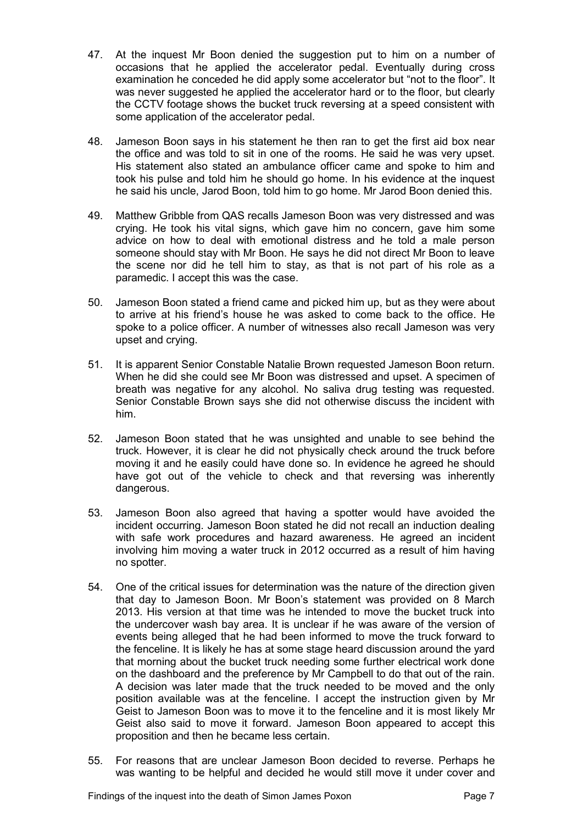- 47. At the inquest Mr Boon denied the suggestion put to him on a number of occasions that he applied the accelerator pedal. Eventually during cross examination he conceded he did apply some accelerator but "not to the floor". It was never suggested he applied the accelerator hard or to the floor, but clearly the CCTV footage shows the bucket truck reversing at a speed consistent with some application of the accelerator pedal.
- 48. Jameson Boon says in his statement he then ran to get the first aid box near the office and was told to sit in one of the rooms. He said he was very upset. His statement also stated an ambulance officer came and spoke to him and took his pulse and told him he should go home. In his evidence at the inquest he said his uncle, Jarod Boon, told him to go home. Mr Jarod Boon denied this.
- 49. Matthew Gribble from QAS recalls Jameson Boon was very distressed and was crying. He took his vital signs, which gave him no concern, gave him some advice on how to deal with emotional distress and he told a male person someone should stay with Mr Boon. He says he did not direct Mr Boon to leave the scene nor did he tell him to stay, as that is not part of his role as a paramedic. I accept this was the case.
- 50. Jameson Boon stated a friend came and picked him up, but as they were about to arrive at his friend's house he was asked to come back to the office. He spoke to a police officer. A number of witnesses also recall Jameson was very upset and crying.
- 51. It is apparent Senior Constable Natalie Brown requested Jameson Boon return. When he did she could see Mr Boon was distressed and upset. A specimen of breath was negative for any alcohol. No saliva drug testing was requested. Senior Constable Brown says she did not otherwise discuss the incident with him.
- 52. Jameson Boon stated that he was unsighted and unable to see behind the truck. However, it is clear he did not physically check around the truck before moving it and he easily could have done so. In evidence he agreed he should have got out of the vehicle to check and that reversing was inherently dangerous.
- 53. Jameson Boon also agreed that having a spotter would have avoided the incident occurring. Jameson Boon stated he did not recall an induction dealing with safe work procedures and hazard awareness. He agreed an incident involving him moving a water truck in 2012 occurred as a result of him having no spotter.
- 54. One of the critical issues for determination was the nature of the direction given that day to Jameson Boon. Mr Boon's statement was provided on 8 March 2013. His version at that time was he intended to move the bucket truck into the undercover wash bay area. It is unclear if he was aware of the version of events being alleged that he had been informed to move the truck forward to the fenceline. It is likely he has at some stage heard discussion around the yard that morning about the bucket truck needing some further electrical work done on the dashboard and the preference by Mr Campbell to do that out of the rain. A decision was later made that the truck needed to be moved and the only position available was at the fenceline. I accept the instruction given by Mr Geist to Jameson Boon was to move it to the fenceline and it is most likely Mr Geist also said to move it forward. Jameson Boon appeared to accept this proposition and then he became less certain.
- 55. For reasons that are unclear Jameson Boon decided to reverse. Perhaps he was wanting to be helpful and decided he would still move it under cover and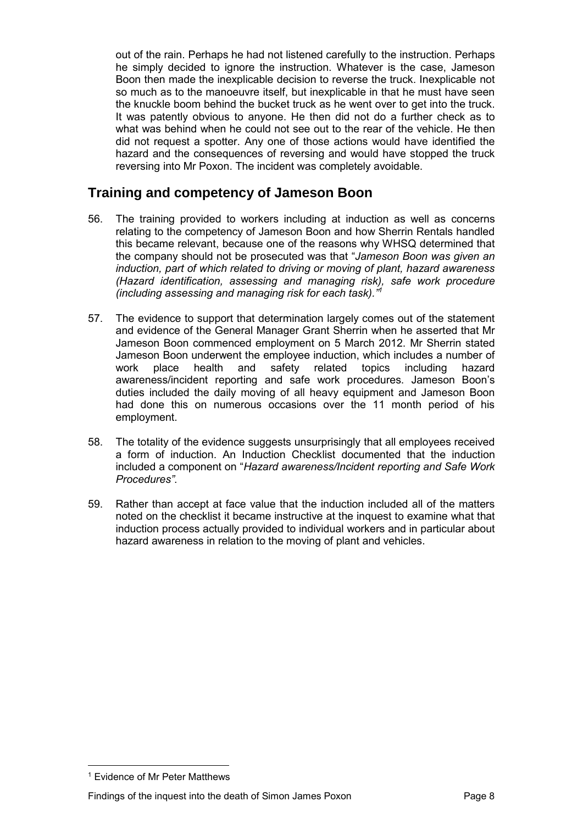out of the rain. Perhaps he had not listened carefully to the instruction. Perhaps he simply decided to ignore the instruction. Whatever is the case, Jameson Boon then made the inexplicable decision to reverse the truck. Inexplicable not so much as to the manoeuvre itself, but inexplicable in that he must have seen the knuckle boom behind the bucket truck as he went over to get into the truck. It was patently obvious to anyone. He then did not do a further check as to what was behind when he could not see out to the rear of the vehicle. He then did not request a spotter. Any one of those actions would have identified the hazard and the consequences of reversing and would have stopped the truck reversing into Mr Poxon. The incident was completely avoidable.

# <span id="page-9-0"></span>**Training and competency of Jameson Boon**

- 56. The training provided to workers including at induction as well as concerns relating to the competency of Jameson Boon and how Sherrin Rentals handled this became relevant, because one of the reasons why WHSQ determined that the company should not be prosecuted was that "*Jameson Boon was given an induction, part of which related to driving or moving of plant, hazard awareness (Hazard identification, assessing and managing risk), safe work procedure (including assessing and managing risk for each task)."<sup>1</sup>*
- 57. The evidence to support that determination largely comes out of the statement and evidence of the General Manager Grant Sherrin when he asserted that Mr Jameson Boon commenced employment on 5 March 2012. Mr Sherrin stated Jameson Boon underwent the employee induction, which includes a number of work place health and safety related topics including hazard awareness/incident reporting and safe work procedures. Jameson Boon's duties included the daily moving of all heavy equipment and Jameson Boon had done this on numerous occasions over the 11 month period of his employment.
- 58. The totality of the evidence suggests unsurprisingly that all employees received a form of induction. An Induction Checklist documented that the induction included a component on "*Hazard awareness/Incident reporting and Safe Work Procedures"*.
- 59. Rather than accept at face value that the induction included all of the matters noted on the checklist it became instructive at the inquest to examine what that induction process actually provided to individual workers and in particular about hazard awareness in relation to the moving of plant and vehicles.

 $\overline{a}$ 1 Evidence of Mr Peter Matthews

Findings of the inquest into the death of Simon James Poxon Page 8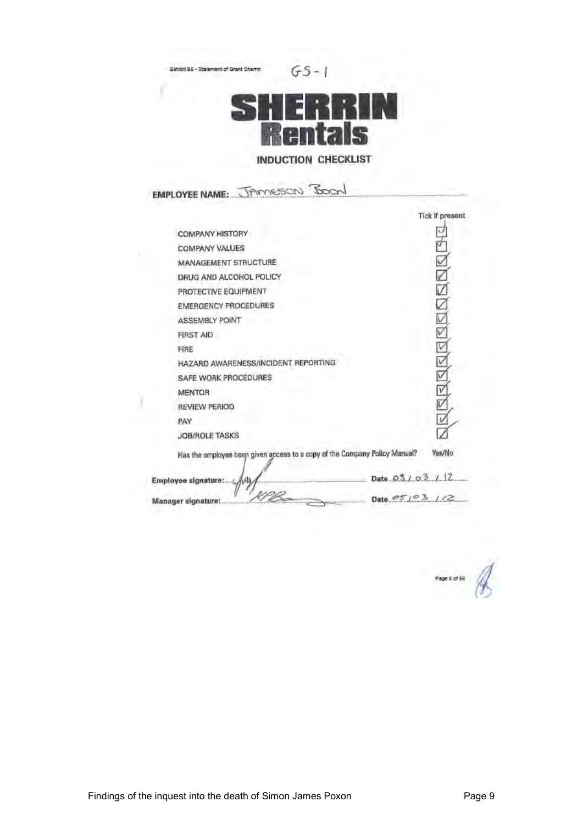Exhibit B5 - Statement of Grant Shemn

 $GS-1$ 



# **INDUCTION CHECKLIST**

EMPLOYEE NAME: JAMESON BOON

X

|                                                                            |                  | Tick if present |  |
|----------------------------------------------------------------------------|------------------|-----------------|--|
| <b>COMPANY HISTORY</b>                                                     |                  |                 |  |
| <b>COMPANY VALUES</b>                                                      |                  |                 |  |
| MANAGEMENT STRUCTURE                                                       |                  |                 |  |
| DRUG AND ALCOHOL POLICY                                                    |                  |                 |  |
| PROTECTIVE EQUIPMENT                                                       |                  |                 |  |
| <b>EMERGENCY PROCEDURES</b>                                                |                  |                 |  |
| <b>ASSEMBLY POINT</b>                                                      |                  |                 |  |
| <b>FIRST AID</b>                                                           |                  | $\frac{1}{2}$   |  |
| FIRE                                                                       |                  | V               |  |
| HAZARD AWARENESS/INCIDENT REPORTING                                        |                  | V               |  |
| SAFE WORK PROCEDURES                                                       |                  | v               |  |
| MENTOR                                                                     |                  | ٧               |  |
| <b>REVIEW PERIOD</b>                                                       |                  | v               |  |
| PAY                                                                        |                  |                 |  |
| <b>JOB/ROLE TASKS</b>                                                      |                  |                 |  |
| Has the employee been given access to a copy of the Company Policy Manual? |                  | Yes/No          |  |
| Employee signature:                                                        | Date $0.5103112$ |                 |  |
| Manager signature:                                                         | Date $05/03$     | 112             |  |
|                                                                            |                  |                 |  |

Page 5 of 66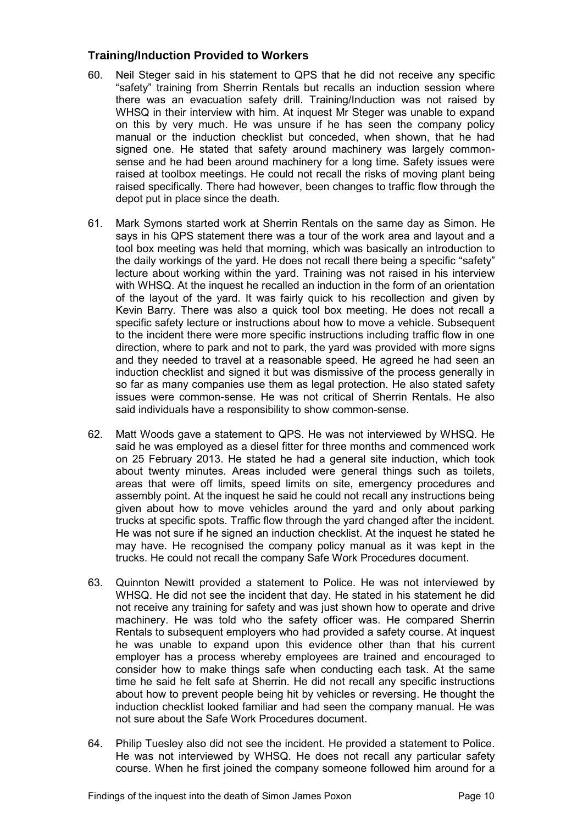#### **Training/Induction Provided to Workers**

- 60. Neil Steger said in his statement to QPS that he did not receive any specific "safety" training from Sherrin Rentals but recalls an induction session where there was an evacuation safety drill. Training/Induction was not raised by WHSQ in their interview with him. At inquest Mr Steger was unable to expand on this by very much. He was unsure if he has seen the company policy manual or the induction checklist but conceded, when shown, that he had signed one. He stated that safety around machinery was largely commonsense and he had been around machinery for a long time. Safety issues were raised at toolbox meetings. He could not recall the risks of moving plant being raised specifically. There had however, been changes to traffic flow through the depot put in place since the death.
- 61. Mark Symons started work at Sherrin Rentals on the same day as Simon. He says in his QPS statement there was a tour of the work area and layout and a tool box meeting was held that morning, which was basically an introduction to the daily workings of the yard. He does not recall there being a specific "safety" lecture about working within the yard. Training was not raised in his interview with WHSQ. At the inquest he recalled an induction in the form of an orientation of the layout of the yard. It was fairly quick to his recollection and given by Kevin Barry. There was also a quick tool box meeting. He does not recall a specific safety lecture or instructions about how to move a vehicle. Subsequent to the incident there were more specific instructions including traffic flow in one direction, where to park and not to park, the yard was provided with more signs and they needed to travel at a reasonable speed. He agreed he had seen an induction checklist and signed it but was dismissive of the process generally in so far as many companies use them as legal protection. He also stated safety issues were common-sense. He was not critical of Sherrin Rentals. He also said individuals have a responsibility to show common-sense.
- 62. Matt Woods gave a statement to QPS. He was not interviewed by WHSQ. He said he was employed as a diesel fitter for three months and commenced work on 25 February 2013. He stated he had a general site induction, which took about twenty minutes. Areas included were general things such as toilets, areas that were off limits, speed limits on site, emergency procedures and assembly point. At the inquest he said he could not recall any instructions being given about how to move vehicles around the yard and only about parking trucks at specific spots. Traffic flow through the yard changed after the incident. He was not sure if he signed an induction checklist. At the inquest he stated he may have. He recognised the company policy manual as it was kept in the trucks. He could not recall the company Safe Work Procedures document.
- 63. Quinnton Newitt provided a statement to Police. He was not interviewed by WHSQ. He did not see the incident that day. He stated in his statement he did not receive any training for safety and was just shown how to operate and drive machinery. He was told who the safety officer was. He compared Sherrin Rentals to subsequent employers who had provided a safety course. At inquest he was unable to expand upon this evidence other than that his current employer has a process whereby employees are trained and encouraged to consider how to make things safe when conducting each task. At the same time he said he felt safe at Sherrin. He did not recall any specific instructions about how to prevent people being hit by vehicles or reversing. He thought the induction checklist looked familiar and had seen the company manual. He was not sure about the Safe Work Procedures document.
- 64. Philip Tuesley also did not see the incident. He provided a statement to Police. He was not interviewed by WHSQ. He does not recall any particular safety course. When he first joined the company someone followed him around for a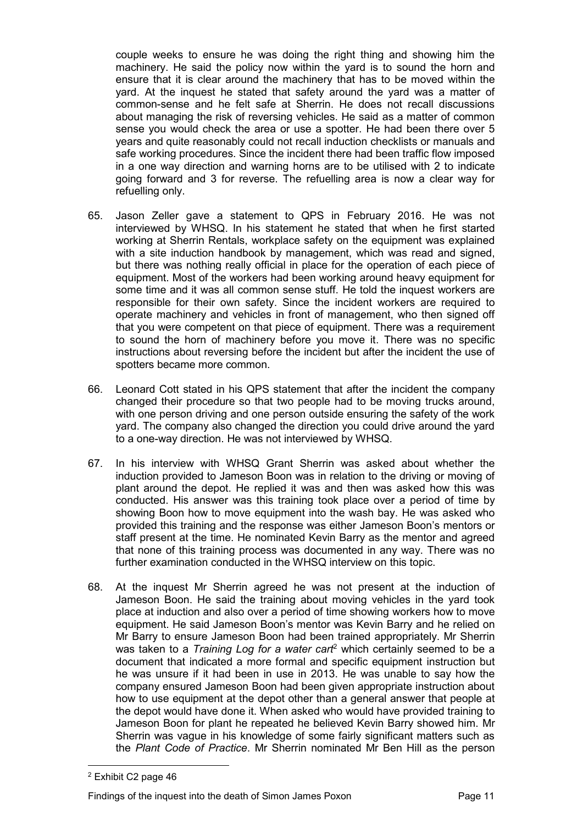couple weeks to ensure he was doing the right thing and showing him the machinery. He said the policy now within the yard is to sound the horn and ensure that it is clear around the machinery that has to be moved within the yard. At the inquest he stated that safety around the yard was a matter of common-sense and he felt safe at Sherrin. He does not recall discussions about managing the risk of reversing vehicles. He said as a matter of common sense you would check the area or use a spotter. He had been there over 5 years and quite reasonably could not recall induction checklists or manuals and safe working procedures. Since the incident there had been traffic flow imposed in a one way direction and warning horns are to be utilised with 2 to indicate going forward and 3 for reverse. The refuelling area is now a clear way for refuelling only.

- 65. Jason Zeller gave a statement to QPS in February 2016. He was not interviewed by WHSQ. In his statement he stated that when he first started working at Sherrin Rentals, workplace safety on the equipment was explained with a site induction handbook by management, which was read and signed, but there was nothing really official in place for the operation of each piece of equipment. Most of the workers had been working around heavy equipment for some time and it was all common sense stuff. He told the inquest workers are responsible for their own safety. Since the incident workers are required to operate machinery and vehicles in front of management, who then signed off that you were competent on that piece of equipment. There was a requirement to sound the horn of machinery before you move it. There was no specific instructions about reversing before the incident but after the incident the use of spotters became more common.
- 66. Leonard Cott stated in his QPS statement that after the incident the company changed their procedure so that two people had to be moving trucks around, with one person driving and one person outside ensuring the safety of the work yard. The company also changed the direction you could drive around the yard to a one-way direction. He was not interviewed by WHSQ.
- 67. In his interview with WHSQ Grant Sherrin was asked about whether the induction provided to Jameson Boon was in relation to the driving or moving of plant around the depot. He replied it was and then was asked how this was conducted. His answer was this training took place over a period of time by showing Boon how to move equipment into the wash bay. He was asked who provided this training and the response was either Jameson Boon's mentors or staff present at the time. He nominated Kevin Barry as the mentor and agreed that none of this training process was documented in any way. There was no further examination conducted in the WHSQ interview on this topic.
- 68. At the inquest Mr Sherrin agreed he was not present at the induction of Jameson Boon. He said the training about moving vehicles in the yard took place at induction and also over a period of time showing workers how to move equipment. He said Jameson Boon's mentor was Kevin Barry and he relied on Mr Barry to ensure Jameson Boon had been trained appropriately. Mr Sherrin was taken to a *Training Log for a water cart*<sup>2</sup> which certainly seemed to be a document that indicated a more formal and specific equipment instruction but he was unsure if it had been in use in 2013. He was unable to say how the company ensured Jameson Boon had been given appropriate instruction about how to use equipment at the depot other than a general answer that people at the depot would have done it. When asked who would have provided training to Jameson Boon for plant he repeated he believed Kevin Barry showed him. Mr Sherrin was vague in his knowledge of some fairly significant matters such as the *Plant Code of Practice*. Mr Sherrin nominated Mr Ben Hill as the person

 $\overline{a}$ 

<sup>2</sup> Exhibit C2 page 46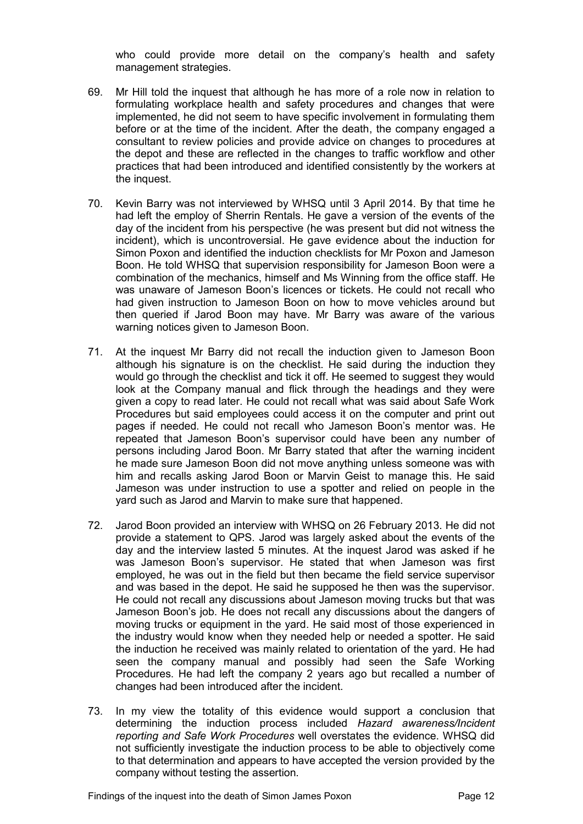who could provide more detail on the company's health and safety management strategies.

- 69. Mr Hill told the inquest that although he has more of a role now in relation to formulating workplace health and safety procedures and changes that were implemented, he did not seem to have specific involvement in formulating them before or at the time of the incident. After the death, the company engaged a consultant to review policies and provide advice on changes to procedures at the depot and these are reflected in the changes to traffic workflow and other practices that had been introduced and identified consistently by the workers at the inquest.
- 70. Kevin Barry was not interviewed by WHSQ until 3 April 2014. By that time he had left the employ of Sherrin Rentals. He gave a version of the events of the day of the incident from his perspective (he was present but did not witness the incident), which is uncontroversial. He gave evidence about the induction for Simon Poxon and identified the induction checklists for Mr Poxon and Jameson Boon. He told WHSQ that supervision responsibility for Jameson Boon were a combination of the mechanics, himself and Ms Winning from the office staff. He was unaware of Jameson Boon's licences or tickets. He could not recall who had given instruction to Jameson Boon on how to move vehicles around but then queried if Jarod Boon may have. Mr Barry was aware of the various warning notices given to Jameson Boon.
- 71. At the inquest Mr Barry did not recall the induction given to Jameson Boon although his signature is on the checklist. He said during the induction they would go through the checklist and tick it off. He seemed to suggest they would look at the Company manual and flick through the headings and they were given a copy to read later. He could not recall what was said about Safe Work Procedures but said employees could access it on the computer and print out pages if needed. He could not recall who Jameson Boon's mentor was. He repeated that Jameson Boon's supervisor could have been any number of persons including Jarod Boon. Mr Barry stated that after the warning incident he made sure Jameson Boon did not move anything unless someone was with him and recalls asking Jarod Boon or Marvin Geist to manage this. He said Jameson was under instruction to use a spotter and relied on people in the yard such as Jarod and Marvin to make sure that happened.
- 72. Jarod Boon provided an interview with WHSQ on 26 February 2013. He did not provide a statement to QPS. Jarod was largely asked about the events of the day and the interview lasted 5 minutes. At the inquest Jarod was asked if he was Jameson Boon's supervisor. He stated that when Jameson was first employed, he was out in the field but then became the field service supervisor and was based in the depot. He said he supposed he then was the supervisor. He could not recall any discussions about Jameson moving trucks but that was Jameson Boon's job. He does not recall any discussions about the dangers of moving trucks or equipment in the yard. He said most of those experienced in the industry would know when they needed help or needed a spotter. He said the induction he received was mainly related to orientation of the yard. He had seen the company manual and possibly had seen the Safe Working Procedures. He had left the company 2 years ago but recalled a number of changes had been introduced after the incident.
- 73. In my view the totality of this evidence would support a conclusion that determining the induction process included *Hazard awareness/Incident reporting and Safe Work Procedures* well overstates the evidence. WHSQ did not sufficiently investigate the induction process to be able to objectively come to that determination and appears to have accepted the version provided by the company without testing the assertion.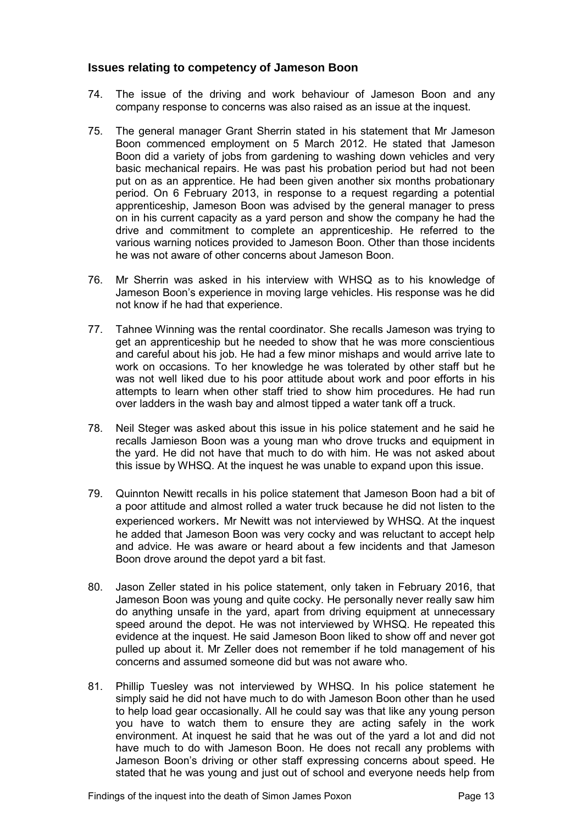#### <span id="page-14-0"></span>**Issues relating to competency of Jameson Boon**

- 74. The issue of the driving and work behaviour of Jameson Boon and any company response to concerns was also raised as an issue at the inquest.
- 75. The general manager Grant Sherrin stated in his statement that Mr Jameson Boon commenced employment on 5 March 2012. He stated that Jameson Boon did a variety of jobs from gardening to washing down vehicles and very basic mechanical repairs. He was past his probation period but had not been put on as an apprentice. He had been given another six months probationary period. On 6 February 2013, in response to a request regarding a potential apprenticeship, Jameson Boon was advised by the general manager to press on in his current capacity as a yard person and show the company he had the drive and commitment to complete an apprenticeship. He referred to the various warning notices provided to Jameson Boon. Other than those incidents he was not aware of other concerns about Jameson Boon.
- 76. Mr Sherrin was asked in his interview with WHSQ as to his knowledge of Jameson Boon's experience in moving large vehicles. His response was he did not know if he had that experience.
- 77. Tahnee Winning was the rental coordinator. She recalls Jameson was trying to get an apprenticeship but he needed to show that he was more conscientious and careful about his job. He had a few minor mishaps and would arrive late to work on occasions. To her knowledge he was tolerated by other staff but he was not well liked due to his poor attitude about work and poor efforts in his attempts to learn when other staff tried to show him procedures. He had run over ladders in the wash bay and almost tipped a water tank off a truck.
- 78. Neil Steger was asked about this issue in his police statement and he said he recalls Jamieson Boon was a young man who drove trucks and equipment in the yard. He did not have that much to do with him. He was not asked about this issue by WHSQ. At the inquest he was unable to expand upon this issue.
- 79. Quinnton Newitt recalls in his police statement that Jameson Boon had a bit of a poor attitude and almost rolled a water truck because he did not listen to the experienced workers. Mr Newitt was not interviewed by WHSQ. At the inquest he added that Jameson Boon was very cocky and was reluctant to accept help and advice. He was aware or heard about a few incidents and that Jameson Boon drove around the depot yard a bit fast.
- 80. Jason Zeller stated in his police statement, only taken in February 2016, that Jameson Boon was young and quite cocky. He personally never really saw him do anything unsafe in the yard, apart from driving equipment at unnecessary speed around the depot. He was not interviewed by WHSQ. He repeated this evidence at the inquest. He said Jameson Boon liked to show off and never got pulled up about it. Mr Zeller does not remember if he told management of his concerns and assumed someone did but was not aware who.
- 81. Phillip Tuesley was not interviewed by WHSQ. In his police statement he simply said he did not have much to do with Jameson Boon other than he used to help load gear occasionally. All he could say was that like any young person you have to watch them to ensure they are acting safely in the work environment. At inquest he said that he was out of the yard a lot and did not have much to do with Jameson Boon. He does not recall any problems with Jameson Boon's driving or other staff expressing concerns about speed. He stated that he was young and just out of school and everyone needs help from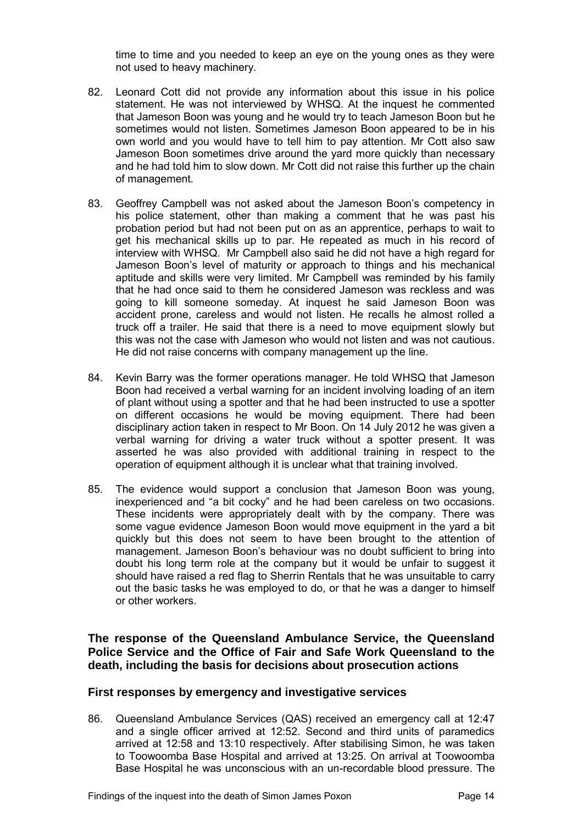time to time and you needed to keep an eye on the young ones as they were not used to heavy machinery.

- 82. Leonard Cott did not provide any information about this issue in his police statement. He was not interviewed by WHSQ. At the inquest he commented that Jameson Boon was young and he would try to teach Jameson Boon but he sometimes would not listen. Sometimes Jameson Boon appeared to be in his own world and you would have to tell him to pay attention. Mr Cott also saw Jameson Boon sometimes drive around the yard more quickly than necessary and he had told him to slow down. Mr Cott did not raise this further up the chain of management.
- 83. Geoffrey Campbell was not asked about the Jameson Boon's competency in his police statement, other than making a comment that he was past his probation period but had not been put on as an apprentice, perhaps to wait to get his mechanical skills up to par. He repeated as much in his record of interview with WHSQ. Mr Campbell also said he did not have a high regard for Jameson Boon's level of maturity or approach to things and his mechanical aptitude and skills were very limited. Mr Campbell was reminded by his family that he had once said to them he considered Jameson was reckless and was going to kill someone someday. At inquest he said Jameson Boon was accident prone, careless and would not listen. He recalls he almost rolled a truck off a trailer. He said that there is a need to move equipment slowly but this was not the case with Jameson who would not listen and was not cautious. He did not raise concerns with company management up the line.
- 84. Kevin Barry was the former operations manager. He told WHSQ that Jameson Boon had received a verbal warning for an incident involving loading of an item of plant without using a spotter and that he had been instructed to use a spotter on different occasions he would be moving equipment. There had been disciplinary action taken in respect to Mr Boon. On 14 July 2012 he was given a verbal warning for driving a water truck without a spotter present. It was asserted he was also provided with additional training in respect to the operation of equipment although it is unclear what that training involved.
- 85. The evidence would support a conclusion that Jameson Boon was young, inexperienced and "a bit cocky" and he had been careless on two occasions. These incidents were appropriately dealt with by the company. There was some vague evidence Jameson Boon would move equipment in the yard a bit quickly but this does not seem to have been brought to the attention of management. Jameson Boon's behaviour was no doubt sufficient to bring into doubt his long term role at the company but it would be unfair to suggest it should have raised a red flag to Sherrin Rentals that he was unsuitable to carry out the basic tasks he was employed to do, or that he was a danger to himself or other workers.

<span id="page-15-0"></span>**The response of the Queensland Ambulance Service, the Queensland Police Service and the Office of Fair and Safe Work Queensland to the death, including the basis for decisions about prosecution actions** 

#### **First responses by emergency and investigative services**

86. Queensland Ambulance Services (QAS) received an emergency call at 12:47 and a single officer arrived at 12:52. Second and third units of paramedics arrived at 12:58 and 13:10 respectively. After stabilising Simon, he was taken to Toowoomba Base Hospital and arrived at 13:25. On arrival at Toowoomba Base Hospital he was unconscious with an un-recordable blood pressure. The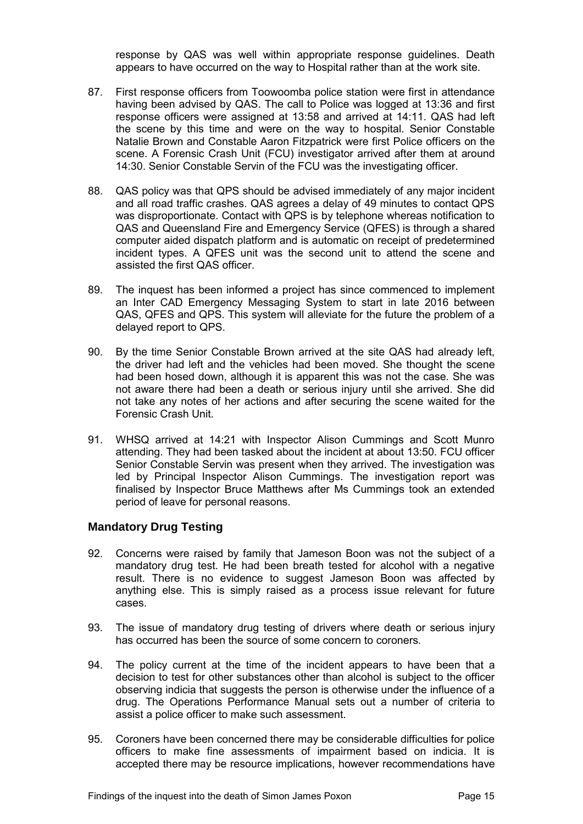response by QAS was well within appropriate response guidelines. Death appears to have occurred on the way to Hospital rather than at the work site.

- 87. First response officers from Toowoomba police station were first in attendance having been advised by QAS. The call to Police was logged at 13:36 and first response officers were assigned at 13:58 and arrived at 14:11. QAS had left the scene by this time and were on the way to hospital. Senior Constable Natalie Brown and Constable Aaron Fitzpatrick were first Police officers on the scene. A Forensic Crash Unit (FCU) investigator arrived after them at around 14:30. Senior Constable Servin of the FCU was the investigating officer.
- 88. QAS policy was that QPS should be advised immediately of any major incident and all road traffic crashes. QAS agrees a delay of 49 minutes to contact QPS was disproportionate. Contact with QPS is by telephone whereas notification to QAS and Queensland Fire and Emergency Service (QFES) is through a shared computer aided dispatch platform and is automatic on receipt of predetermined incident types. A QFES unit was the second unit to attend the scene and assisted the first QAS officer.
- 89. The inquest has been informed a project has since commenced to implement an Inter CAD Emergency Messaging System to start in late 2016 between QAS, QFES and QPS. This system will alleviate for the future the problem of a delayed report to QPS.
- 90. By the time Senior Constable Brown arrived at the site QAS had already left, the driver had left and the vehicles had been moved. She thought the scene had been hosed down, although it is apparent this was not the case. She was not aware there had been a death or serious injury until she arrived. She did not take any notes of her actions and after securing the scene waited for the Forensic Crash Unit.
- 91. WHSQ arrived at 14:21 with Inspector Alison Cummings and Scott Munro attending. They had been tasked about the incident at about 13:50. FCU officer Senior Constable Servin was present when they arrived. The investigation was led by Principal Inspector Alison Cummings. The investigation report was finalised by Inspector Bruce Matthews after Ms Cummings took an extended period of leave for personal reasons.

#### <span id="page-16-0"></span>**Mandatory Drug Testing**

- 92. Concerns were raised by family that Jameson Boon was not the subject of a mandatory drug test. He had been breath tested for alcohol with a negative result. There is no evidence to suggest Jameson Boon was affected by anything else. This is simply raised as a process issue relevant for future cases.
- 93. The issue of mandatory drug testing of drivers where death or serious injury has occurred has been the source of some concern to coroners.
- 94. The policy current at the time of the incident appears to have been that a decision to test for other substances other than alcohol is subject to the officer observing indicia that suggests the person is otherwise under the influence of a drug. The Operations Performance Manual sets out a number of criteria to assist a police officer to make such assessment.
- 95. Coroners have been concerned there may be considerable difficulties for police officers to make fine assessments of impairment based on indicia. It is accepted there may be resource implications, however recommendations have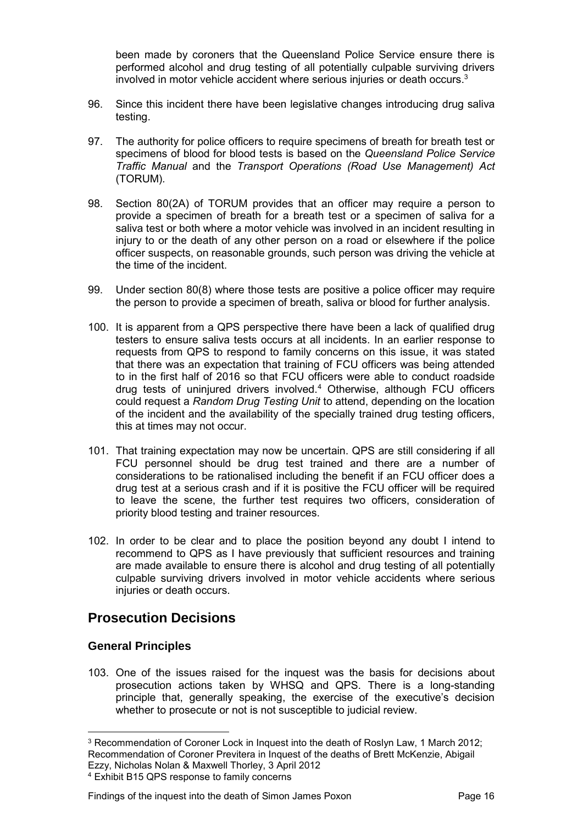been made by coroners that the Queensland Police Service ensure there is performed alcohol and drug testing of all potentially culpable surviving drivers involved in motor vehicle accident where serious injuries or death occurs.<sup>3</sup>

- 96. Since this incident there have been legislative changes introducing drug saliva testing.
- 97. The authority for police officers to require specimens of breath for breath test or specimens of blood for blood tests is based on the *Queensland Police Service Traffic Manual* and the *Transport Operations (Road Use Management) Act*  (TORUM)*.*
- 98. Section 80(2A) of TORUM provides that an officer may require a person to provide a specimen of breath for a breath test or a specimen of saliva for a saliva test or both where a motor vehicle was involved in an incident resulting in injury to or the death of any other person on a road or elsewhere if the police officer suspects, on reasonable grounds, such person was driving the vehicle at the time of the incident.
- 99. Under section 80(8) where those tests are positive a police officer may require the person to provide a specimen of breath, saliva or blood for further analysis.
- 100. It is apparent from a QPS perspective there have been a lack of qualified drug testers to ensure saliva tests occurs at all incidents. In an earlier response to requests from QPS to respond to family concerns on this issue, it was stated that there was an expectation that training of FCU officers was being attended to in the first half of 2016 so that FCU officers were able to conduct roadside drug tests of uninjured drivers involved.<sup>4</sup> Otherwise, although FCU officers could request a *Random Drug Testing Unit* to attend, depending on the location of the incident and the availability of the specially trained drug testing officers, this at times may not occur.
- 101. That training expectation may now be uncertain. QPS are still considering if all FCU personnel should be drug test trained and there are a number of considerations to be rationalised including the benefit if an FCU officer does a drug test at a serious crash and if it is positive the FCU officer will be required to leave the scene, the further test requires two officers, consideration of priority blood testing and trainer resources.
- 102. In order to be clear and to place the position beyond any doubt I intend to recommend to QPS as I have previously that sufficient resources and training are made available to ensure there is alcohol and drug testing of all potentially culpable surviving drivers involved in motor vehicle accidents where serious injuries or death occurs.

# <span id="page-17-0"></span>**Prosecution Decisions**

#### <span id="page-17-1"></span>**General Principles**

103. One of the issues raised for the inquest was the basis for decisions about prosecution actions taken by WHSQ and QPS. There is a long-standing principle that, generally speaking, the exercise of the executive's decision whether to prosecute or not is not susceptible to judicial review.

#### Findings of the inquest into the death of Simon James Poxon Page 16

 $\overline{a}$ <sup>3</sup> Recommendation of Coroner Lock in Inquest into the death of Roslyn Law, 1 March 2012; Recommendation of Coroner Previtera in Inquest of the deaths of Brett McKenzie, Abigail Ezzy, Nicholas Nolan & Maxwell Thorley, 3 April 2012

<sup>4</sup> Exhibit B15 QPS response to family concerns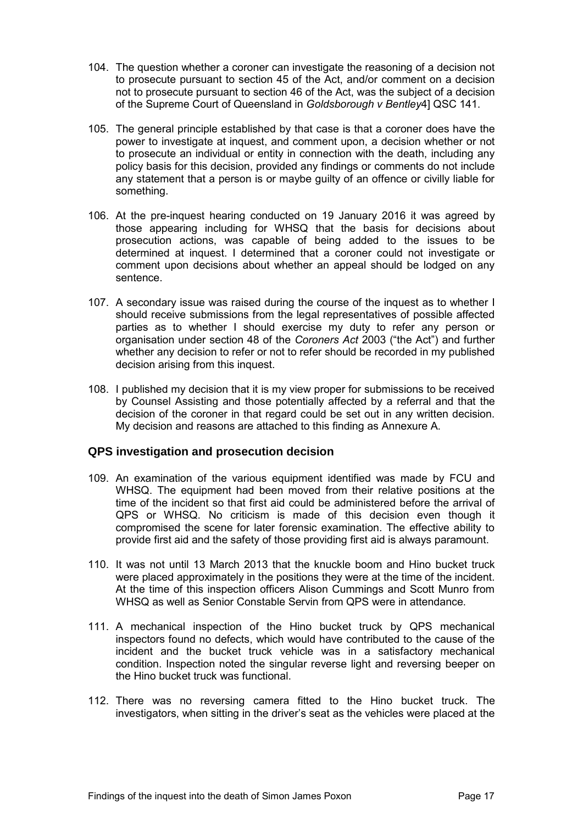- 104. The question whether a coroner can investigate the reasoning of a decision not to prosecute pursuant to section 45 of the Act, and/or comment on a decision not to prosecute pursuant to section 46 of the Act, was the subject of a decision of the Supreme Court of Queensland in *Goldsborough v Bentley*4] QSC 141.
- 105. The general principle established by that case is that a coroner does have the power to investigate at inquest, and comment upon, a decision whether or not to prosecute an individual or entity in connection with the death, including any policy basis for this decision, provided any findings or comments do not include any statement that a person is or maybe guilty of an offence or civilly liable for something.
- 106. At the pre-inquest hearing conducted on 19 January 2016 it was agreed by those appearing including for WHSQ that the basis for decisions about prosecution actions, was capable of being added to the issues to be determined at inquest. I determined that a coroner could not investigate or comment upon decisions about whether an appeal should be lodged on any sentence.
- 107. A secondary issue was raised during the course of the inquest as to whether I should receive submissions from the legal representatives of possible affected parties as to whether I should exercise my duty to refer any person or organisation under section 48 of the *Coroners Act* 2003 ("the Act") and further whether any decision to refer or not to refer should be recorded in my published decision arising from this inquest.
- 108. I published my decision that it is my view proper for submissions to be received by Counsel Assisting and those potentially affected by a referral and that the decision of the coroner in that regard could be set out in any written decision. My decision and reasons are attached to this finding as Annexure A.

#### <span id="page-18-0"></span>**QPS investigation and prosecution decision**

- 109. An examination of the various equipment identified was made by FCU and WHSQ. The equipment had been moved from their relative positions at the time of the incident so that first aid could be administered before the arrival of QPS or WHSQ. No criticism is made of this decision even though it compromised the scene for later forensic examination. The effective ability to provide first aid and the safety of those providing first aid is always paramount.
- 110. It was not until 13 March 2013 that the knuckle boom and Hino bucket truck were placed approximately in the positions they were at the time of the incident. At the time of this inspection officers Alison Cummings and Scott Munro from WHSQ as well as Senior Constable Servin from QPS were in attendance.
- 111. A mechanical inspection of the Hino bucket truck by QPS mechanical inspectors found no defects, which would have contributed to the cause of the incident and the bucket truck vehicle was in a satisfactory mechanical condition. Inspection noted the singular reverse light and reversing beeper on the Hino bucket truck was functional.
- 112. There was no reversing camera fitted to the Hino bucket truck. The investigators, when sitting in the driver's seat as the vehicles were placed at the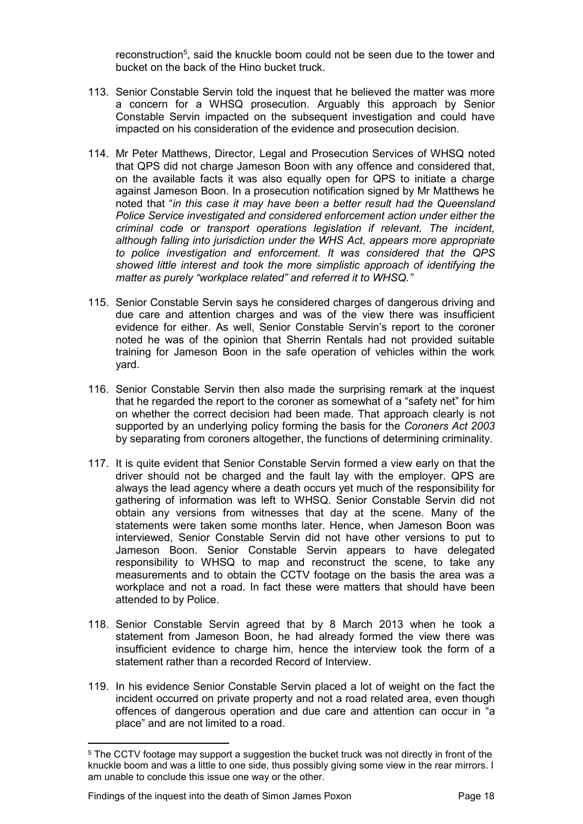reconstruction<sup>5</sup>, said the knuckle boom could not be seen due to the tower and bucket on the back of the Hino bucket truck.

- 113. Senior Constable Servin told the inquest that he believed the matter was more a concern for a WHSQ prosecution. Arguably this approach by Senior Constable Servin impacted on the subsequent investigation and could have impacted on his consideration of the evidence and prosecution decision.
- 114. Mr Peter Matthews, Director, Legal and Prosecution Services of WHSQ noted that QPS did not charge Jameson Boon with any offence and considered that, on the available facts it was also equally open for QPS to initiate a charge against Jameson Boon. In a prosecution notification signed by Mr Matthews he noted that "*in this case it may have been a better result had the Queensland Police Service investigated and considered enforcement action under either the criminal code or transport operations legislation if relevant. The incident, although falling into jurisdiction under the WHS Act, appears more appropriate to police investigation and enforcement. It was considered that the QPS showed little interest and took the more simplistic approach of identifying the matter as purely "workplace related" and referred it to WHSQ."*
- 115. Senior Constable Servin says he considered charges of dangerous driving and due care and attention charges and was of the view there was insufficient evidence for either. As well, Senior Constable Servin's report to the coroner noted he was of the opinion that Sherrin Rentals had not provided suitable training for Jameson Boon in the safe operation of vehicles within the work yard.
- 116. Senior Constable Servin then also made the surprising remark at the inquest that he regarded the report to the coroner as somewhat of a "safety net" for him on whether the correct decision had been made. That approach clearly is not supported by an underlying policy forming the basis for the *Coroners Act 2003* by separating from coroners altogether, the functions of determining criminality.
- 117. It is quite evident that Senior Constable Servin formed a view early on that the driver should not be charged and the fault lay with the employer. QPS are always the lead agency where a death occurs yet much of the responsibility for gathering of information was left to WHSQ. Senior Constable Servin did not obtain any versions from witnesses that day at the scene. Many of the statements were taken some months later. Hence, when Jameson Boon was interviewed, Senior Constable Servin did not have other versions to put to Jameson Boon. Senior Constable Servin appears to have delegated responsibility to WHSQ to map and reconstruct the scene, to take any measurements and to obtain the CCTV footage on the basis the area was a workplace and not a road. In fact these were matters that should have been attended to by Police.
- 118. Senior Constable Servin agreed that by 8 March 2013 when he took a statement from Jameson Boon, he had already formed the view there was insufficient evidence to charge him, hence the interview took the form of a statement rather than a recorded Record of Interview.
- 119. In his evidence Senior Constable Servin placed a lot of weight on the fact the incident occurred on private property and not a road related area, even though offences of dangerous operation and due care and attention can occur in "a place" and are not limited to a road.

 $\overline{a}$  $^{\rm 5}$  The CCTV footage may support a suggestion the bucket truck was not directly in front of the knuckle boom and was a little to one side, thus possibly giving some view in the rear mirrors. I am unable to conclude this issue one way or the other.

Findings of the inquest into the death of Simon James Poxon Page 18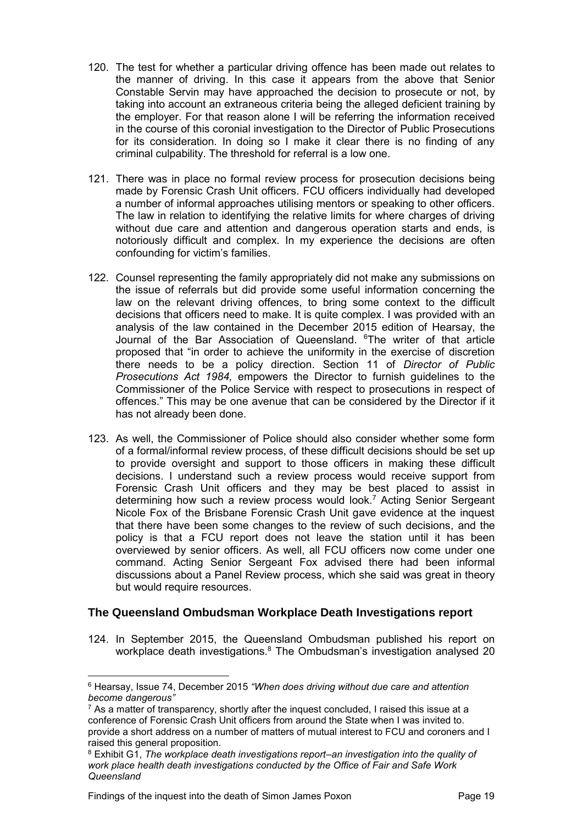- 120. The test for whether a particular driving offence has been made out relates to the manner of driving. In this case it appears from the above that Senior Constable Servin may have approached the decision to prosecute or not, by taking into account an extraneous criteria being the alleged deficient training by the employer. For that reason alone I will be referring the information received in the course of this coronial investigation to the Director of Public Prosecutions for its consideration. In doing so I make it clear there is no finding of any criminal culpability. The threshold for referral is a low one.
- 121. There was in place no formal review process for prosecution decisions being made by Forensic Crash Unit officers. FCU officers individually had developed a number of informal approaches utilising mentors or speaking to other officers. The law in relation to identifying the relative limits for where charges of driving without due care and attention and dangerous operation starts and ends, is notoriously difficult and complex. In my experience the decisions are often confounding for victim's families.
- 122. Counsel representing the family appropriately did not make any submissions on the issue of referrals but did provide some useful information concerning the law on the relevant driving offences, to bring some context to the difficult decisions that officers need to make. It is quite complex. I was provided with an analysis of the law contained in the December 2015 edition of Hearsay, the Journal of the Bar Association of Queensland. <sup>6</sup>The writer of that article proposed that "in order to achieve the uniformity in the exercise of discretion there needs to be a policy direction. Section 11 of *Director of Public Prosecutions Act 1984,* empowers the Director to furnish guidelines to the Commissioner of the Police Service with respect to prosecutions in respect of offences." This may be one avenue that can be considered by the Director if it has not already been done.
- 123. As well, the Commissioner of Police should also consider whether some form of a formal/informal review process, of these difficult decisions should be set up to provide oversight and support to those officers in making these difficult decisions. I understand such a review process would receive support from Forensic Crash Unit officers and they may be best placed to assist in determining how such a review process would look.<sup>7</sup> Acting Senior Sergeant Nicole Fox of the Brisbane Forensic Crash Unit gave evidence at the inquest that there have been some changes to the review of such decisions, and the policy is that a FCU report does not leave the station until it has been overviewed by senior officers. As well, all FCU officers now come under one command. Acting Senior Sergeant Fox advised there had been informal discussions about a Panel Review process, which she said was great in theory but would require resources.

#### <span id="page-20-0"></span>**The Queensland Ombudsman Workplace Death Investigations report**

124. In September 2015, the Queensland Ombudsman published his report on workplace death investigations.<sup>8</sup> The Ombudsman's investigation analysed 20

 $\overline{a}$ 

<sup>6</sup> Hearsay, Issue 74, December 2015 *"When does driving without due care and attention become dangerous"* 

<sup>7</sup> As a matter of transparency, shortly after the inquest concluded, I raised this issue at a conference of Forensic Crash Unit officers from around the State when I was invited to. provide a short address on a number of matters of mutual interest to FCU and coroners and I raised this general proposition.

 $^8$  Exhibit G1, *The workplace death investigations report–an investigation into the quality of work place health death investigations conducted by the Office of Fair and Safe Work Queensland*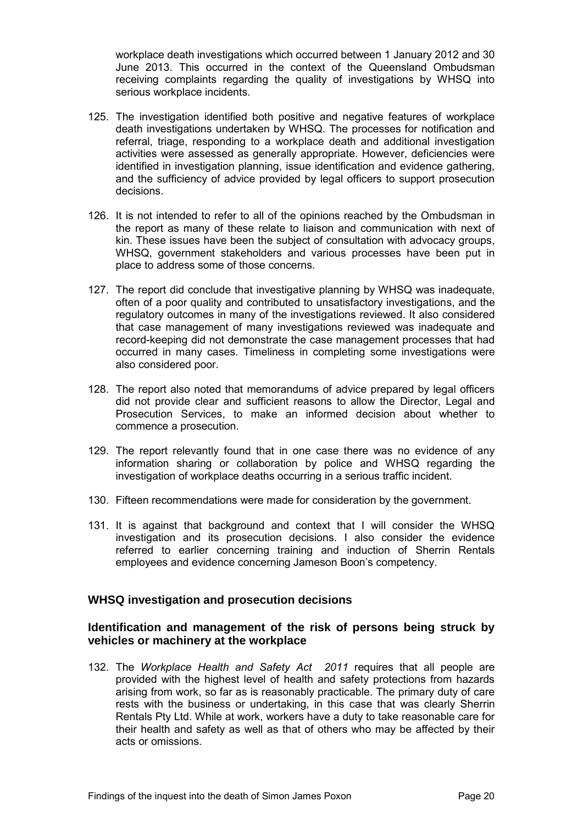workplace death investigations which occurred between 1 January 2012 and 30 June 2013. This occurred in the context of the Queensland Ombudsman receiving complaints regarding the quality of investigations by WHSQ into serious workplace incidents.

- 125. The investigation identified both positive and negative features of workplace death investigations undertaken by WHSQ. The processes for notification and referral, triage, responding to a workplace death and additional investigation activities were assessed as generally appropriate. However, deficiencies were identified in investigation planning, issue identification and evidence gathering, and the sufficiency of advice provided by legal officers to support prosecution decisions.
- 126. It is not intended to refer to all of the opinions reached by the Ombudsman in the report as many of these relate to liaison and communication with next of kin. These issues have been the subject of consultation with advocacy groups, WHSQ, government stakeholders and various processes have been put in place to address some of those concerns.
- 127. The report did conclude that investigative planning by WHSQ was inadequate, often of a poor quality and contributed to unsatisfactory investigations, and the regulatory outcomes in many of the investigations reviewed. It also considered that case management of many investigations reviewed was inadequate and record-keeping did not demonstrate the case management processes that had occurred in many cases. Timeliness in completing some investigations were also considered poor.
- 128. The report also noted that memorandums of advice prepared by legal officers did not provide clear and sufficient reasons to allow the Director, Legal and Prosecution Services, to make an informed decision about whether to commence a prosecution.
- 129. The report relevantly found that in one case there was no evidence of any information sharing or collaboration by police and WHSQ regarding the investigation of workplace deaths occurring in a serious traffic incident.
- 130. Fifteen recommendations were made for consideration by the government.
- 131. It is against that background and context that I will consider the WHSQ investigation and its prosecution decisions. I also consider the evidence referred to earlier concerning training and induction of Sherrin Rentals employees and evidence concerning Jameson Boon's competency.

#### <span id="page-21-0"></span>**WHSQ investigation and prosecution decisions**

#### <span id="page-21-1"></span>**Identification and management of the risk of persons being struck by vehicles or machinery at the workplace**

132. The *Workplace Health and Safety Act 2011* requires that all people are provided with the highest level of health and safety protections from hazards arising from work, so far as is reasonably practicable. The primary duty of care rests with the business or undertaking, in this case that was clearly Sherrin Rentals Pty Ltd. While at work, workers have a duty to take reasonable care for their health and safety as well as that of others who may be affected by their acts or omissions.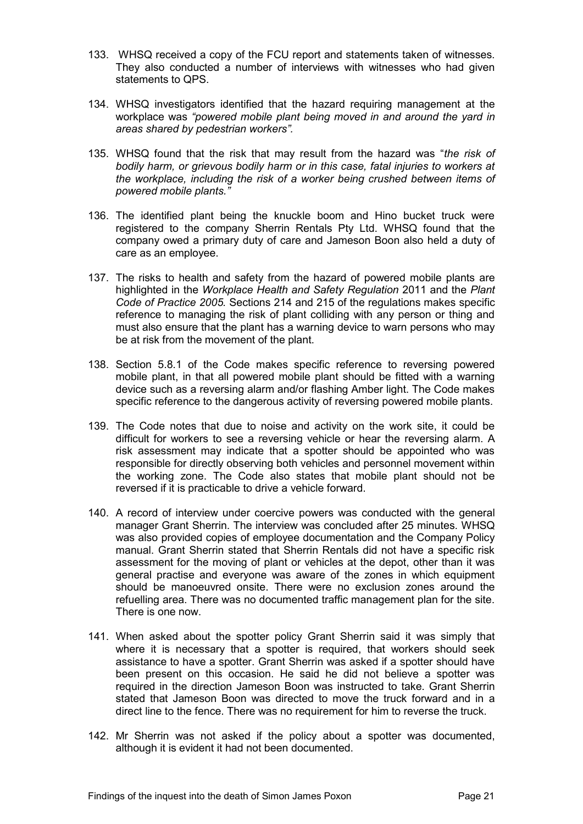- 133. WHSQ received a copy of the FCU report and statements taken of witnesses. They also conducted a number of interviews with witnesses who had given statements to QPS.
- 134. WHSQ investigators identified that the hazard requiring management at the workplace was *"powered mobile plant being moved in and around the yard in areas shared by pedestrian workers".*
- 135. WHSQ found that the risk that may result from the hazard was "*the risk of bodily harm, or grievous bodily harm or in this case, fatal injuries to workers at the workplace, including the risk of a worker being crushed between items of powered mobile plants."*
- 136. The identified plant being the knuckle boom and Hino bucket truck were registered to the company Sherrin Rentals Pty Ltd. WHSQ found that the company owed a primary duty of care and Jameson Boon also held a duty of care as an employee.
- 137. The risks to health and safety from the hazard of powered mobile plants are highlighted in the *Workplace Health and Safety Regulation* 2011 and the *Plant Code of Practice 2005.* Sections 214 and 215 of the regulations makes specific reference to managing the risk of plant colliding with any person or thing and must also ensure that the plant has a warning device to warn persons who may be at risk from the movement of the plant.
- 138. Section 5.8.1 of the Code makes specific reference to reversing powered mobile plant, in that all powered mobile plant should be fitted with a warning device such as a reversing alarm and/or flashing Amber light. The Code makes specific reference to the dangerous activity of reversing powered mobile plants.
- 139. The Code notes that due to noise and activity on the work site, it could be difficult for workers to see a reversing vehicle or hear the reversing alarm. A risk assessment may indicate that a spotter should be appointed who was responsible for directly observing both vehicles and personnel movement within the working zone. The Code also states that mobile plant should not be reversed if it is practicable to drive a vehicle forward.
- 140. A record of interview under coercive powers was conducted with the general manager Grant Sherrin. The interview was concluded after 25 minutes. WHSQ was also provided copies of employee documentation and the Company Policy manual. Grant Sherrin stated that Sherrin Rentals did not have a specific risk assessment for the moving of plant or vehicles at the depot, other than it was general practise and everyone was aware of the zones in which equipment should be manoeuvred onsite. There were no exclusion zones around the refuelling area. There was no documented traffic management plan for the site. There is one now.
- 141. When asked about the spotter policy Grant Sherrin said it was simply that where it is necessary that a spotter is required, that workers should seek assistance to have a spotter. Grant Sherrin was asked if a spotter should have been present on this occasion. He said he did not believe a spotter was required in the direction Jameson Boon was instructed to take. Grant Sherrin stated that Jameson Boon was directed to move the truck forward and in a direct line to the fence. There was no requirement for him to reverse the truck.
- 142. Mr Sherrin was not asked if the policy about a spotter was documented, although it is evident it had not been documented.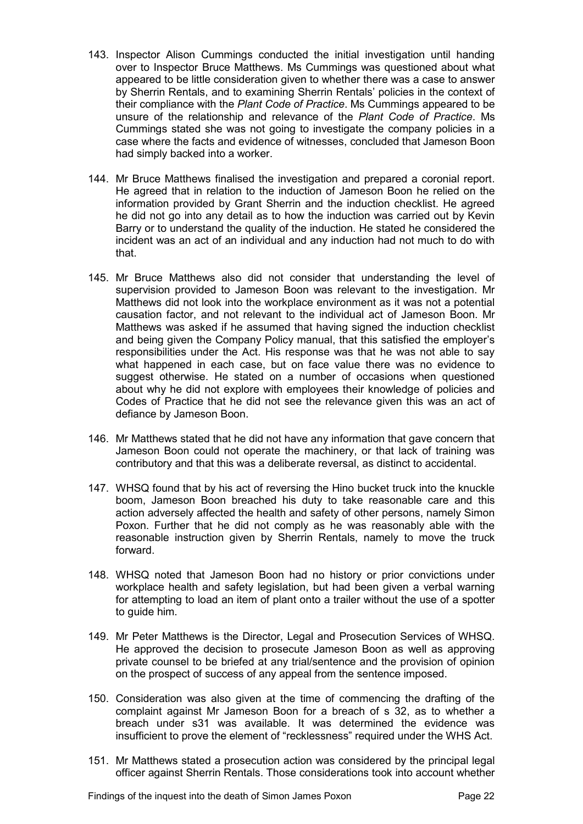- 143. Inspector Alison Cummings conducted the initial investigation until handing over to Inspector Bruce Matthews. Ms Cummings was questioned about what appeared to be little consideration given to whether there was a case to answer by Sherrin Rentals, and to examining Sherrin Rentals' policies in the context of their compliance with the *Plant Code of Practice*. Ms Cummings appeared to be unsure of the relationship and relevance of the *Plant Code of Practice*. Ms Cummings stated she was not going to investigate the company policies in a case where the facts and evidence of witnesses, concluded that Jameson Boon had simply backed into a worker.
- 144. Mr Bruce Matthews finalised the investigation and prepared a coronial report. He agreed that in relation to the induction of Jameson Boon he relied on the information provided by Grant Sherrin and the induction checklist. He agreed he did not go into any detail as to how the induction was carried out by Kevin Barry or to understand the quality of the induction. He stated he considered the incident was an act of an individual and any induction had not much to do with that.
- 145. Mr Bruce Matthews also did not consider that understanding the level of supervision provided to Jameson Boon was relevant to the investigation. Mr Matthews did not look into the workplace environment as it was not a potential causation factor, and not relevant to the individual act of Jameson Boon. Mr Matthews was asked if he assumed that having signed the induction checklist and being given the Company Policy manual, that this satisfied the employer's responsibilities under the Act. His response was that he was not able to say what happened in each case, but on face value there was no evidence to suggest otherwise. He stated on a number of occasions when questioned about why he did not explore with employees their knowledge of policies and Codes of Practice that he did not see the relevance given this was an act of defiance by Jameson Boon.
- 146. Mr Matthews stated that he did not have any information that gave concern that Jameson Boon could not operate the machinery, or that lack of training was contributory and that this was a deliberate reversal, as distinct to accidental.
- 147. WHSQ found that by his act of reversing the Hino bucket truck into the knuckle boom, Jameson Boon breached his duty to take reasonable care and this action adversely affected the health and safety of other persons, namely Simon Poxon. Further that he did not comply as he was reasonably able with the reasonable instruction given by Sherrin Rentals, namely to move the truck forward.
- 148. WHSQ noted that Jameson Boon had no history or prior convictions under workplace health and safety legislation, but had been given a verbal warning for attempting to load an item of plant onto a trailer without the use of a spotter to guide him.
- 149. Mr Peter Matthews is the Director, Legal and Prosecution Services of WHSQ. He approved the decision to prosecute Jameson Boon as well as approving private counsel to be briefed at any trial/sentence and the provision of opinion on the prospect of success of any appeal from the sentence imposed.
- 150. Consideration was also given at the time of commencing the drafting of the complaint against Mr Jameson Boon for a breach of s 32, as to whether a breach under s31 was available. It was determined the evidence was insufficient to prove the element of "recklessness" required under the WHS Act.
- 151. Mr Matthews stated a prosecution action was considered by the principal legal officer against Sherrin Rentals. Those considerations took into account whether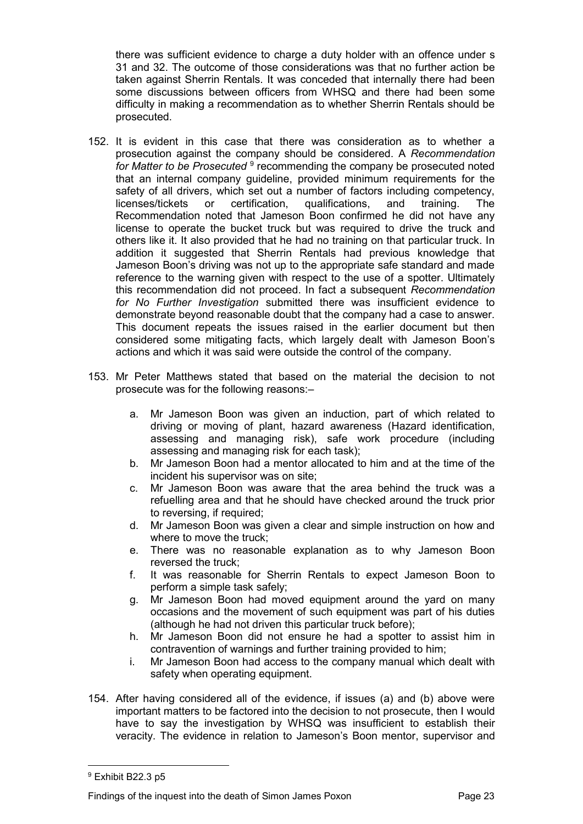there was sufficient evidence to charge a duty holder with an offence under s 31 and 32. The outcome of those considerations was that no further action be taken against Sherrin Rentals. It was conceded that internally there had been some discussions between officers from WHSQ and there had been some difficulty in making a recommendation as to whether Sherrin Rentals should be prosecuted.

- 152. It is evident in this case that there was consideration as to whether a prosecution against the company should be considered. A *Recommendation*  for Matter to be Prosecuted <sup>9</sup> recommending the company be prosecuted noted that an internal company guideline, provided minimum requirements for the safety of all drivers, which set out a number of factors including competency, licenses/tickets or certification, qualifications, and training. The Recommendation noted that Jameson Boon confirmed he did not have any license to operate the bucket truck but was required to drive the truck and others like it. It also provided that he had no training on that particular truck. In addition it suggested that Sherrin Rentals had previous knowledge that Jameson Boon's driving was not up to the appropriate safe standard and made reference to the warning given with respect to the use of a spotter. Ultimately this recommendation did not proceed. In fact a subsequent *Recommendation for No Further Investigation* submitted there was insufficient evidence to demonstrate beyond reasonable doubt that the company had a case to answer. This document repeats the issues raised in the earlier document but then considered some mitigating facts, which largely dealt with Jameson Boon's actions and which it was said were outside the control of the company.
- 153. Mr Peter Matthews stated that based on the material the decision to not prosecute was for the following reasons:–
	- a. Mr Jameson Boon was given an induction, part of which related to driving or moving of plant, hazard awareness (Hazard identification, assessing and managing risk), safe work procedure (including assessing and managing risk for each task);
	- b. Mr Jameson Boon had a mentor allocated to him and at the time of the incident his supervisor was on site;
	- c. Mr Jameson Boon was aware that the area behind the truck was a refuelling area and that he should have checked around the truck prior to reversing, if required;
	- d. Mr Jameson Boon was given a clear and simple instruction on how and where to move the truck;
	- e. There was no reasonable explanation as to why Jameson Boon reversed the truck;
	- f. It was reasonable for Sherrin Rentals to expect Jameson Boon to perform a simple task safely;
	- g. Mr Jameson Boon had moved equipment around the yard on many occasions and the movement of such equipment was part of his duties (although he had not driven this particular truck before);
	- h. Mr Jameson Boon did not ensure he had a spotter to assist him in contravention of warnings and further training provided to him;
	- i. Mr Jameson Boon had access to the company manual which dealt with safety when operating equipment.
- 154. After having considered all of the evidence, if issues (a) and (b) above were important matters to be factored into the decision to not prosecute, then I would have to say the investigation by WHSQ was insufficient to establish their veracity. The evidence in relation to Jameson's Boon mentor, supervisor and

 $\overline{a}$ 

<sup>9</sup> Exhibit B22.3 p5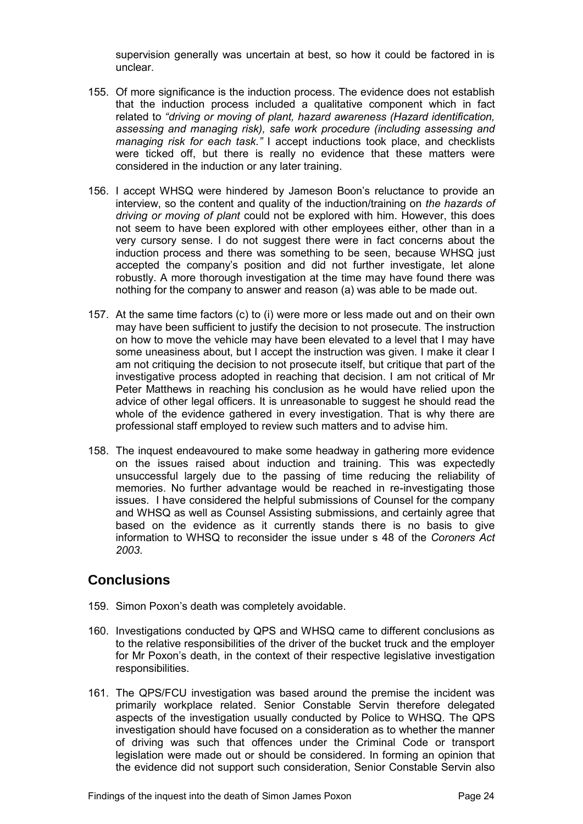supervision generally was uncertain at best, so how it could be factored in is unclear.

- 155. Of more significance is the induction process. The evidence does not establish that the induction process included a qualitative component which in fact related to *"driving or moving of plant, hazard awareness (Hazard identification, assessing and managing risk), safe work procedure (including assessing and managing risk for each task."* I accept inductions took place, and checklists were ticked off, but there is really no evidence that these matters were considered in the induction or any later training.
- 156. I accept WHSQ were hindered by Jameson Boon's reluctance to provide an interview, so the content and quality of the induction/training on *the hazards of driving or moving of plant* could not be explored with him. However, this does not seem to have been explored with other employees either, other than in a very cursory sense. I do not suggest there were in fact concerns about the induction process and there was something to be seen, because WHSQ just accepted the company's position and did not further investigate, let alone robustly. A more thorough investigation at the time may have found there was nothing for the company to answer and reason (a) was able to be made out.
- 157. At the same time factors (c) to (i) were more or less made out and on their own may have been sufficient to justify the decision to not prosecute. The instruction on how to move the vehicle may have been elevated to a level that I may have some uneasiness about, but I accept the instruction was given. I make it clear I am not critiquing the decision to not prosecute itself, but critique that part of the investigative process adopted in reaching that decision. I am not critical of Mr Peter Matthews in reaching his conclusion as he would have relied upon the advice of other legal officers. It is unreasonable to suggest he should read the whole of the evidence gathered in every investigation. That is why there are professional staff employed to review such matters and to advise him.
- 158. The inquest endeavoured to make some headway in gathering more evidence on the issues raised about induction and training. This was expectedly unsuccessful largely due to the passing of time reducing the reliability of memories. No further advantage would be reached in re-investigating those issues. I have considered the helpful submissions of Counsel for the company and WHSQ as well as Counsel Assisting submissions, and certainly agree that based on the evidence as it currently stands there is no basis to give information to WHSQ to reconsider the issue under s 48 of the *Coroners Act 2003*.

# <span id="page-25-0"></span>**Conclusions**

- 159. Simon Poxon's death was completely avoidable.
- 160. Investigations conducted by QPS and WHSQ came to different conclusions as to the relative responsibilities of the driver of the bucket truck and the employer for Mr Poxon's death, in the context of their respective legislative investigation responsibilities.
- 161. The QPS/FCU investigation was based around the premise the incident was primarily workplace related. Senior Constable Servin therefore delegated aspects of the investigation usually conducted by Police to WHSQ. The QPS investigation should have focused on a consideration as to whether the manner of driving was such that offences under the Criminal Code or transport legislation were made out or should be considered. In forming an opinion that the evidence did not support such consideration, Senior Constable Servin also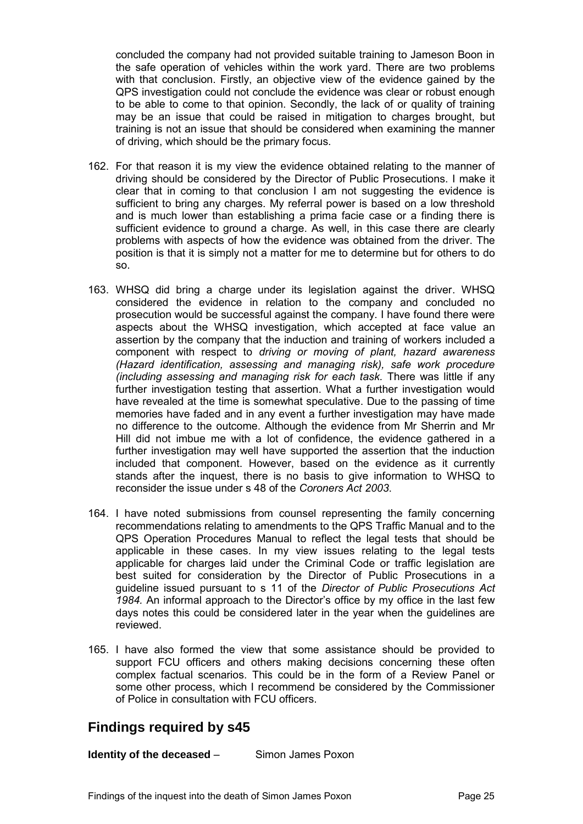concluded the company had not provided suitable training to Jameson Boon in the safe operation of vehicles within the work yard. There are two problems with that conclusion. Firstly, an objective view of the evidence gained by the QPS investigation could not conclude the evidence was clear or robust enough to be able to come to that opinion. Secondly, the lack of or quality of training may be an issue that could be raised in mitigation to charges brought, but training is not an issue that should be considered when examining the manner of driving, which should be the primary focus.

- 162. For that reason it is my view the evidence obtained relating to the manner of driving should be considered by the Director of Public Prosecutions. I make it clear that in coming to that conclusion I am not suggesting the evidence is sufficient to bring any charges. My referral power is based on a low threshold and is much lower than establishing a prima facie case or a finding there is sufficient evidence to ground a charge. As well, in this case there are clearly problems with aspects of how the evidence was obtained from the driver. The position is that it is simply not a matter for me to determine but for others to do so.
- 163. WHSQ did bring a charge under its legislation against the driver. WHSQ considered the evidence in relation to the company and concluded no prosecution would be successful against the company. I have found there were aspects about the WHSQ investigation, which accepted at face value an assertion by the company that the induction and training of workers included a component with respect to *driving or moving of plant, hazard awareness (Hazard identification, assessing and managing risk), safe work procedure (including assessing and managing risk for each task.* There was little if any further investigation testing that assertion. What a further investigation would have revealed at the time is somewhat speculative. Due to the passing of time memories have faded and in any event a further investigation may have made no difference to the outcome. Although the evidence from Mr Sherrin and Mr Hill did not imbue me with a lot of confidence, the evidence gathered in a further investigation may well have supported the assertion that the induction included that component. However, based on the evidence as it currently stands after the inquest, there is no basis to give information to WHSQ to reconsider the issue under s 48 of the *Coroners Act 2003*.
- 164. I have noted submissions from counsel representing the family concerning recommendations relating to amendments to the QPS Traffic Manual and to the QPS Operation Procedures Manual to reflect the legal tests that should be applicable in these cases. In my view issues relating to the legal tests applicable for charges laid under the Criminal Code or traffic legislation are best suited for consideration by the Director of Public Prosecutions in a guideline issued pursuant to s 11 of the *Director of Public Prosecutions Act 1984.* An informal approach to the Director's office by my office in the last few days notes this could be considered later in the year when the guidelines are reviewed.
- 165. I have also formed the view that some assistance should be provided to support FCU officers and others making decisions concerning these often complex factual scenarios. This could be in the form of a Review Panel or some other process, which I recommend be considered by the Commissioner of Police in consultation with FCU officers.

# <span id="page-26-0"></span>**Findings required by s45**

<span id="page-26-1"></span>**Identity of the deceased – Simon James Poxon**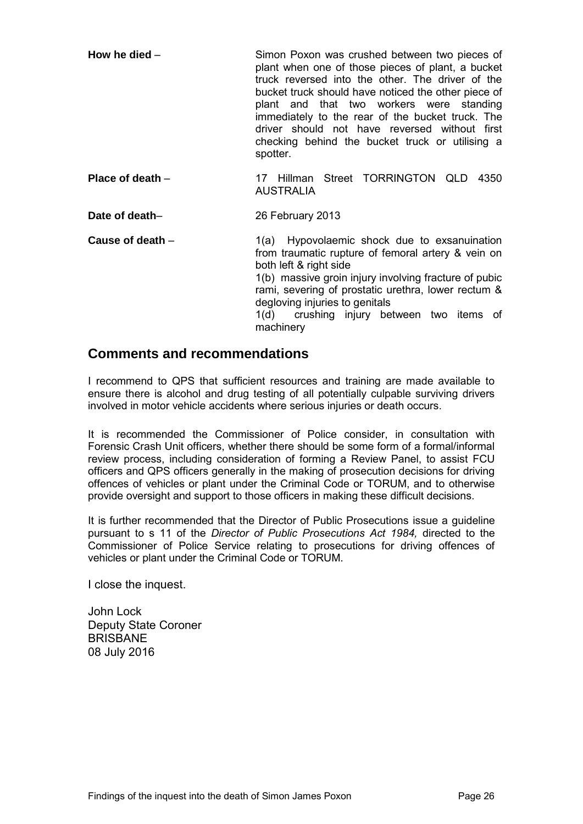<span id="page-27-0"></span>

| How he died $-$ | Simon Poxon was crushed between two pieces of<br>plant when one of those pieces of plant, a bucket<br>truck reversed into the other. The driver of the<br>bucket truck should have noticed the other piece of<br>plant and that two workers were standing<br>immediately to the rear of the bucket truck. The<br>driver should not have reversed without first<br>checking behind the bucket truck or utilising a<br>spotter. |
|-----------------|-------------------------------------------------------------------------------------------------------------------------------------------------------------------------------------------------------------------------------------------------------------------------------------------------------------------------------------------------------------------------------------------------------------------------------|
|                 |                                                                                                                                                                                                                                                                                                                                                                                                                               |

<span id="page-27-1"></span>**Place of death** – 17 Hillman Street TORRINGTON OLD 4350 AUSTRALIA

<span id="page-27-2"></span>**Date of death–** 26 February 2013

<span id="page-27-3"></span>**Cause of death** – 1(a) Hypovolaemic shock due to exsanuination from traumatic rupture of femoral artery & vein on both left & right side 1(b) massive groin injury involving fracture of pubic rami, severing of prostatic urethra, lower rectum & degloving injuries to genitals 1(d) crushing injury between two items of machinery

## <span id="page-27-4"></span>**Comments and recommendations**

I recommend to QPS that sufficient resources and training are made available to ensure there is alcohol and drug testing of all potentially culpable surviving drivers involved in motor vehicle accidents where serious injuries or death occurs.

It is recommended the Commissioner of Police consider, in consultation with Forensic Crash Unit officers, whether there should be some form of a formal/informal review process, including consideration of forming a Review Panel, to assist FCU officers and QPS officers generally in the making of prosecution decisions for driving offences of vehicles or plant under the Criminal Code or TORUM, and to otherwise provide oversight and support to those officers in making these difficult decisions.

It is further recommended that the Director of Public Prosecutions issue a guideline pursuant to s 11 of the *Director of Public Prosecutions Act 1984,* directed to the Commissioner of Police Service relating to prosecutions for driving offences of vehicles or plant under the Criminal Code or TORUM.

I close the inquest.

John Lock Deputy State Coroner BRISBANE 08 July 2016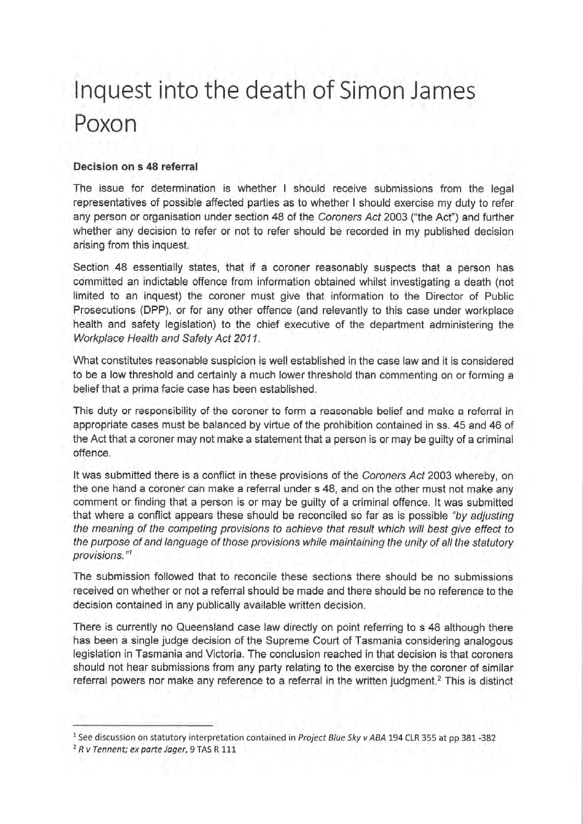# Inquest into the death of Simon James Poxon

#### Decision on s 48 referral

The issue for determination is whether I should receive submissions from the legal representatives of possible affected parties as to whether I should exercise my duty to refer any person or organisation under section 48 of the Coroners Act 2003 ("the Act") and further whether any decision to refer or not to refer should be recorded in my published decision arising from this inquest.

Section 48 essentially states, that if a coroner reasonably suspects that a person has committed an indictable offence from information obtained whilst investigating a death (not limited to an inquest) the coroner must give that information to the Director of Public Prosecutions (DPP), or for any other offence (and relevantly to this case under workplace health and safety legislation) to the chief executive of the department administering the Workplace Health and Safety Act 2011.

What constitutes reasonable suspicion is well established in the case law and it is considered to be a low threshold and certainly a much lower threshold than commenting on or forming a belief that a prima facie case has been established.

This duty or responsibility of the coroner to form a reasonable belief and make a referral in appropriate cases must be balanced by virtue of the prohibition contained in ss. 45 and 46 of the Act that a coroner may not make a statement that a person is or may be guilty of a criminal offence.

It was submitted there is a conflict in these provisions of the Coroners Act 2003 whereby, on the one hand a coroner can make a referral under s 48, and on the other must not make any comment or finding that a person is or may be quilty of a criminal offence. It was submitted that where a conflict appears these should be reconciled so far as is possible "by adjusting the meaning of the competing provisions to achieve that result which will best give effect to the purpose of and language of those provisions while maintaining the unity of all the statutory provisions."1

The submission followed that to reconcile these sections there should be no submissions received on whether or not a referral should be made and there should be no reference to the decision contained in any publically available written decision.

There is currently no Queensland case law directly on point referring to s 48 although there has been a single judge decision of the Supreme Court of Tasmania considering analogous legislation in Tasmania and Victoria. The conclusion reached in that decision is that coroners should not hear submissions from any party relating to the exercise by the coroner of similar referral powers nor make any reference to a referral in the written judgment.<sup>2</sup> This is distinct

<sup>&</sup>lt;sup>1</sup> See discussion on statutory interpretation contained in Project Blue Sky v ABA 194 CLR 355 at pp 381-382

<sup>&</sup>lt;sup>2</sup> R v Tennent; ex parte Jager, 9 TAS R 111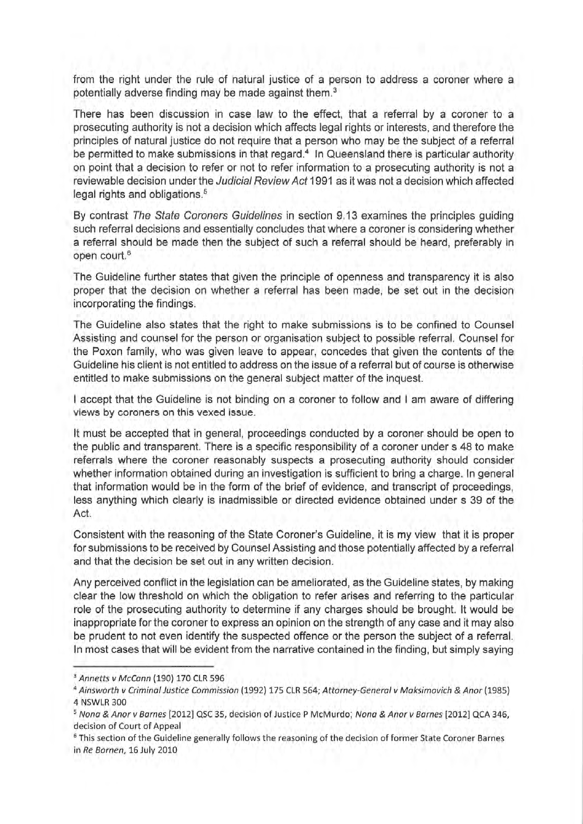from the right under the rule of natural justice of a person to address a coroner where a potentially adverse finding may be made against them.<sup>3</sup>

There has been discussion in case law to the effect, that a referral by a coroner to a prosecuting authority is not a decision which affects legal rights or interests, and therefore the principles of natural justice do not require that a person who may be the subject of a referral be permitted to make submissions in that regard.<sup>4</sup> In Queensland there is particular authority on point that a decision to refer or not to refer information to a prosecuting authority is not a reviewable decision under the Judicial Review Act 1991 as it was not a decision which affected legal rights and obligations.<sup>5</sup>

By contrast The State Coroners Guidelines in section 9.13 examines the principles guiding such referral decisions and essentially concludes that where a coroner is considering whether a referral should be made then the subject of such a referral should be heard, preferably in open court.<sup>6</sup>

The Guideline further states that given the principle of openness and transparency it is also proper that the decision on whether a referral has been made, be set out in the decision incorporating the findings.

The Guideline also states that the right to make submissions is to be confined to Counsel Assisting and counsel for the person or organisation subject to possible referral. Counsel for the Poxon family, who was given leave to appear, concedes that given the contents of the Guideline his client is not entitled to address on the issue of a referral but of course is otherwise entitled to make submissions on the general subject matter of the inquest.

I accept that the Guideline is not binding on a coroner to follow and I am aware of differing views by coroners on this vexed issue.

It must be accepted that in general, proceedings conducted by a coroner should be open to the public and transparent. There is a specific responsibility of a coroner under s 48 to make referrals where the coroner reasonably suspects a prosecuting authority should consider whether information obtained during an investigation is sufficient to bring a charge. In general that information would be in the form of the brief of evidence, and transcript of proceedings, less anything which clearly is inadmissible or directed evidence obtained under s 39 of the Act.

Consistent with the reasoning of the State Coroner's Guideline, it is my view that it is proper for submissions to be received by Counsel Assisting and those potentially affected by a referral and that the decision be set out in any written decision.

Any perceived conflict in the legislation can be ameliorated, as the Guideline states, by making clear the low threshold on which the obligation to refer arises and referring to the particular role of the prosecuting authority to determine if any charges should be brought. It would be inappropriate for the coroner to express an opinion on the strength of any case and it may also be prudent to not even identify the suspected offence or the person the subject of a referral. In most cases that will be evident from the narrative contained in the finding, but simply saying

<sup>&</sup>lt;sup>3</sup> Annetts v McCann (190) 170 CLR 596

<sup>&</sup>lt;sup>4</sup> Ainsworth v Criminal Justice Commission (1992) 175 CLR 564; Attorney-General v Maksimovich & Anor (1985) 4 NSWLR 300

<sup>&</sup>lt;sup>5</sup> Nona & Anor v Barnes [2012] QSC 35, decision of Justice P McMurdo; Nona & Anor v Barnes [2012] QCA 346. decision of Court of Appeal

<sup>&</sup>lt;sup>6</sup> This section of the Guideline generally follows the reasoning of the decision of former State Coroner Barnes in Re Bornen, 16 July 2010